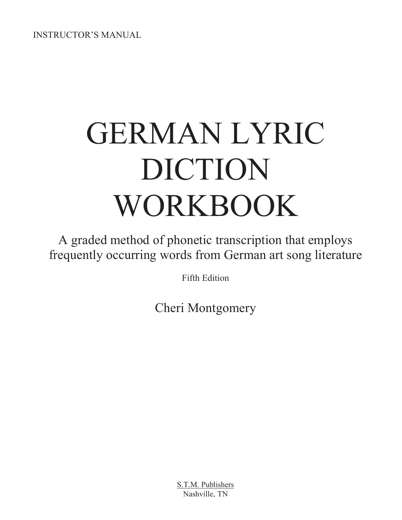INSTRUCTOR'S MANUAL

# GERMAN LYRIC DICTION WORKBOOK

A graded method of phonetic transcription that employs frequently occurring words from German art song literature

Fifth Edition

Cheri Montgomery

S.T.M. Publishers Nashville, TN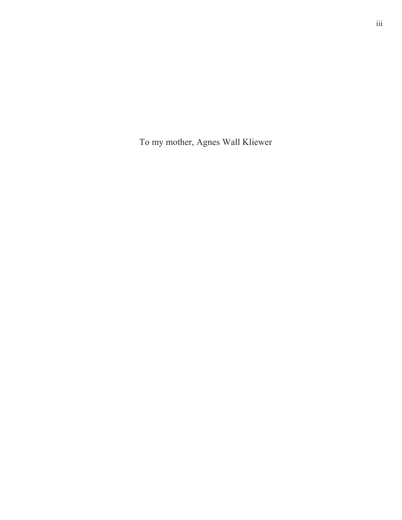To my mother, Agnes Wall Kliewer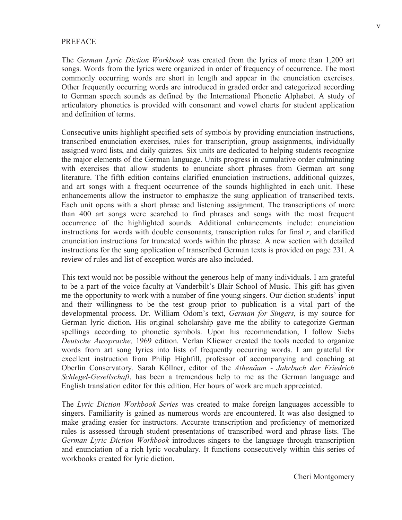#### PREFACE

The *German Lyric Diction Workbook* was created from the lyrics of more than 1,200 art songs. Words from the lyrics were organized in order of frequency of occurrence. The most commonly occurring words are short in length and appear in the enunciation exercises. Other frequently occurring words are introduced in graded order and categorized according to German speech sounds as defined by the International Phonetic Alphabet. A study of articulatory phonetics is provided with consonant and vowel charts for student application and definition of terms.

Consecutive units highlight specified sets of symbols by providing enunciation instructions, transcribed enunciation exercises, rules for transcription, group assignments, individually assigned word lists, and daily quizzes. Six units are dedicated to helping students recognize the major elements of the German language. Units progress in cumulative order culminating with exercises that allow students to enunciate short phrases from German art song literature. The fifth edition contains clarified enunciation instructions, additional quizzes, and art songs with a frequent occurrence of the sounds highlighted in each unit. These enhancements allow the instructor to emphasize the sung application of transcribed texts. Each unit opens with a short phrase and listening assignment. The transcriptions of more than 400 art songs were searched to find phrases and songs with the most frequent occurrence of the highlighted sounds. Additional enhancements include: enunciation instructions for words with double consonants, transcription rules for final *r*, and clarified enunciation instructions for truncated words within the phrase. A new section with detailed instructions for the sung application of transcribed German texts is provided on page 231. A review of rules and list of exception words are also included.

This text would not be possible without the generous help of many individuals. I am grateful to be a part of the voice faculty at Vanderbilt's Blair School of Music. This gift has given me the opportunity to work with a number of fine young singers. Our diction students' input and their willingness to be the test group prior to publication is a vital part of the developmental process. Dr. William Odom's text, *German for Singers,* is my source for German lyric diction. His original scholarship gave me the ability to categorize German spellings according to phonetic symbols. Upon his recommendation, I follow Siebs *Deutsche Aussprache,* 1969 edition*.* Verlan Kliewer created the tools needed to organize words from art song lyrics into lists of frequently occurring words. I am grateful for excellent instruction from Philip Highfill, professor of accompanying and coaching at Oberlin Conservatory. Sarah Köllner, editor of the *Athenäum - Jahrbuch der Friedrich Schlegel-Gesellschaft*, has been a tremendous help to me as the German language and English translation editor for this edition. Her hours of work are much appreciated.

The *Lyric Diction Workbook Series* was created to make foreign languages accessible to singers. Familiarity is gained as numerous words are encountered. It was also designed to make grading easier for instructors. Accurate transcription and proficiency of memorized rules is assessed through student presentations of transcribed word and phrase lists. The *German Lyric Diction Workbook* introduces singers to the language through transcription and enunciation of a rich lyric vocabulary. It functions consecutively within this series of workbooks created for lyric diction.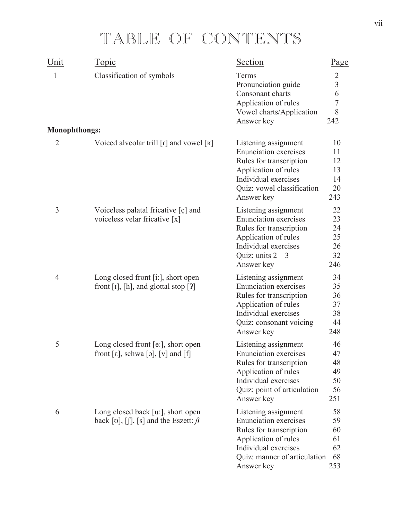### TABLE OF CONTENTS

| Unit                 | <u>Topic</u>                                                                                            | Section                                                                                                                                                                       | Page                                                   |
|----------------------|---------------------------------------------------------------------------------------------------------|-------------------------------------------------------------------------------------------------------------------------------------------------------------------------------|--------------------------------------------------------|
| 1                    | Classification of symbols                                                                               | Terms<br>Pronunciation guide<br>Consonant charts<br>Application of rules<br>Vowel charts/Application<br>Answer key                                                            | $\overline{2}$<br>$\overline{3}$<br>6<br>7<br>8<br>242 |
| <b>Monophthongs:</b> |                                                                                                         |                                                                                                                                                                               |                                                        |
| $\overline{2}$       | Voiced alveolar trill $\lceil r \rceil$ and vowel $\lceil \mathbf{F} \rceil$                            | Listening assignment<br><b>Enunciation</b> exercises<br>Rules for transcription<br>Application of rules<br>Individual exercises<br>Quiz: vowel classification<br>Answer key   | 10<br>11<br>12<br>13<br>14<br>20<br>243                |
| 3                    | Voiceless palatal fricative $\lceil \varphi \rceil$ and<br>voiceless velar fricative [x]                | Listening assignment<br><b>Enunciation</b> exercises<br>Rules for transcription<br>Application of rules<br>Individual exercises<br>Quiz: units $2-3$<br>Answer key            | 22<br>23<br>24<br>25<br>26<br>32<br>246                |
| $\overline{4}$       | Long closed front [i:], short open<br>front $[I]$ , $[h]$ , and glottal stop $[?]$                      | Listening assignment<br><b>Enunciation</b> exercises<br>Rules for transcription<br>Application of rules<br>Individual exercises<br>Quiz: consonant voicing<br>Answer key      | 34<br>35<br>36<br>37<br>38<br>44<br>248                |
| 5                    | Long closed front $[e_1]$ , short open<br>front [ $\varepsilon$ ], schwa [ $\varphi$ ], [ $v$ ] and [f] | Listening assignment<br><b>Enunciation</b> exercises<br>Rules for transcription<br>Application of rules<br>Individual exercises<br>Quiz: point of articulation<br>Answer key  | 46<br>47<br>48<br>49<br>50<br>56<br>251                |
| 6                    | Long closed back [u:], short open<br>back [v], [f], [s] and the Eszett: $\beta$                         | Listening assignment<br><b>Enunciation</b> exercises<br>Rules for transcription<br>Application of rules<br>Individual exercises<br>Quiz: manner of articulation<br>Answer key | 58<br>59<br>60<br>61<br>62<br>68<br>253                |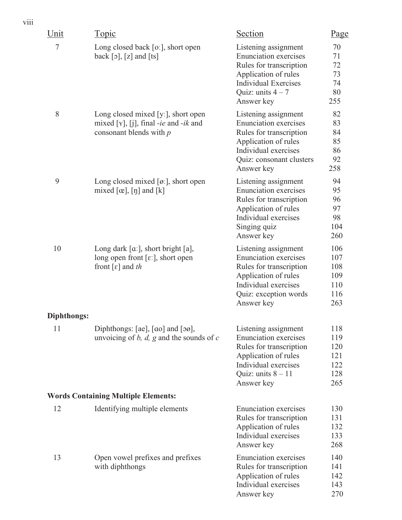| Unit        | Topic                                                                                                                                  | Section                                                                                                                                                                   | <u>Page</u>                                   |
|-------------|----------------------------------------------------------------------------------------------------------------------------------------|---------------------------------------------------------------------------------------------------------------------------------------------------------------------------|-----------------------------------------------|
| $\tau$      | Long closed back [o:], short open<br>back $\lceil 5 \rceil$ , $\lceil 2 \rceil$ and $\lceil \text{ts} \rceil$                          | Listening assignment<br><b>Enunciation</b> exercises<br>Rules for transcription<br>Application of rules<br><b>Individual Exercises</b><br>Quiz: units $4-7$<br>Answer key | 70<br>71<br>72<br>73<br>74<br>80<br>255       |
| 8           | Long closed mixed [y:], short open<br>mixed [Y], [j], final -ie and -ik and<br>consonant blends with $p$                               | Listening assignment<br><b>Enunciation</b> exercises<br>Rules for transcription<br>Application of rules<br>Individual exercises<br>Quiz: consonant clusters<br>Answer key | 82<br>83<br>84<br>85<br>86<br>92<br>258       |
| 9           | Long closed mixed $[\alpha]$ , short open<br>mixed $[\alpha]$ , $[\eta]$ and $[k]$                                                     | Listening assignment<br><b>Enunciation</b> exercises<br>Rules for transcription<br>Application of rules<br>Individual exercises<br>Singing quiz<br>Answer key             | 94<br>95<br>96<br>97<br>98<br>104<br>260      |
| 10          | Long dark $[\alpha]$ , short bright $[a]$ ,<br>long open front $[\epsilon$ : , short open<br>front $\lceil \varepsilon \rceil$ and the | Listening assignment<br><b>Enunciation</b> exercises<br>Rules for transcription<br>Application of rules<br>Individual exercises<br>Quiz: exception words<br>Answer key    | 106<br>107<br>108<br>109<br>110<br>116<br>263 |
| Diphthongs: |                                                                                                                                        |                                                                                                                                                                           |                                               |
| 11          | Diphthongs: $[ae]$ , $[ao]$ and $[\infty]$ ,<br>unvoicing of b, d, g and the sounds of c                                               | Listening assignment<br><b>Enunciation</b> exercises<br>Rules for transcription<br>Application of rules<br>Individual exercises<br>Quiz: units $8 - 11$<br>Answer key     | 118<br>119<br>120<br>121<br>122<br>128<br>265 |
|             | <b>Words Containing Multiple Elements:</b>                                                                                             |                                                                                                                                                                           |                                               |
| 12          | Identifying multiple elements                                                                                                          | <b>Enunciation</b> exercises<br>Rules for transcription<br>Application of rules<br>Individual exercises<br>Answer key                                                     | 130<br>131<br>132<br>133<br>268               |
| 13          | Open vowel prefixes and prefixes<br>with diphthongs                                                                                    | <b>Enunciation</b> exercises<br>Rules for transcription<br>Application of rules<br>Individual exercises<br>Answer key                                                     | 140<br>141<br>142<br>143<br>270               |

viii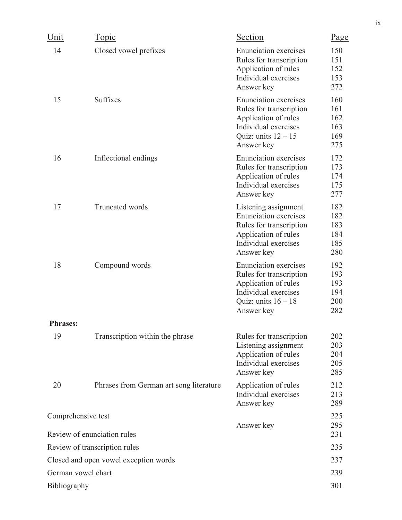| Unit            | <u>Topic</u>                                      | Section                                                                                                                                        | <u>Page</u>                            |
|-----------------|---------------------------------------------------|------------------------------------------------------------------------------------------------------------------------------------------------|----------------------------------------|
| 14              | Closed vowel prefixes                             | <b>Enunciation</b> exercises<br>Rules for transcription<br>Application of rules<br>Individual exercises<br>Answer key                          | 150<br>151<br>152<br>153<br>272        |
| 15              | <b>Suffixes</b>                                   | <b>Enunciation</b> exercises<br>Rules for transcription<br>Application of rules<br>Individual exercises<br>Quiz: units $12 - 15$<br>Answer key | 160<br>161<br>162<br>163<br>169<br>275 |
| 16              | Inflectional endings                              | <b>Enunciation</b> exercises<br>Rules for transcription<br>Application of rules<br>Individual exercises<br>Answer key                          | 172<br>173<br>174<br>175<br>277        |
| 17              | <b>Truncated</b> words                            | Listening assignment<br><b>Enunciation</b> exercises<br>Rules for transcription<br>Application of rules<br>Individual exercises<br>Answer key  | 182<br>182<br>183<br>184<br>185<br>280 |
| 18              | Compound words                                    | <b>Enunciation</b> exercises<br>Rules for transcription<br>Application of rules<br>Individual exercises<br>Quiz: units $16 - 18$<br>Answer key | 192<br>193<br>193<br>194<br>200<br>282 |
| <b>Phrases:</b> |                                                   |                                                                                                                                                |                                        |
| 19              | Transcription within the phrase                   | Rules for transcription<br>Listening assignment<br>Application of rules<br>Individual exercises<br>Answer key                                  | 202<br>203<br>204<br>205<br>285        |
| 20              | Phrases from German art song literature           | Application of rules<br>Individual exercises<br>Answer key                                                                                     | 212<br>213<br>289                      |
|                 | Comprehensive test<br>Review of enunciation rules | Answer key                                                                                                                                     | 225<br>295<br>231                      |
|                 | Review of transcription rules                     |                                                                                                                                                | 235                                    |
|                 | Closed and open vowel exception words             |                                                                                                                                                | 237                                    |
|                 | German vowel chart                                |                                                                                                                                                | 239                                    |
| Bibliography    |                                                   |                                                                                                                                                | 301                                    |
|                 |                                                   |                                                                                                                                                |                                        |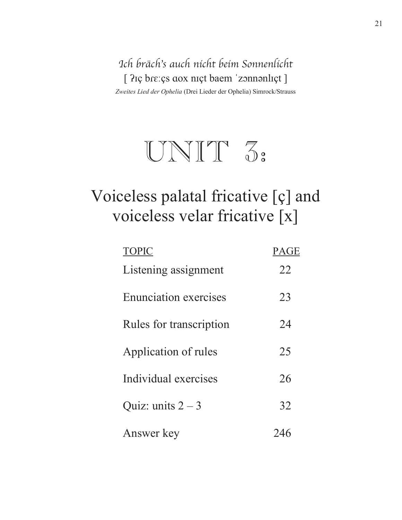Ich bräch's auch nicht beim Sonnenlicht [  $2i$ ç bre: çs aox nıçt baem 'zonnanlıçt ] *Zweites Lied der Ophelia* (Drei Lieder der Ophelia) Simrock/Strauss



### Voiceless palatal fricative [ç] and voiceless velar fricative [x]

| <b>TOPIC</b>                 | PAGE |
|------------------------------|------|
| Listening assignment         | 22   |
| <b>Enunciation exercises</b> | 23   |
| Rules for transcription      | 24   |
| Application of rules         | 25   |
| Individual exercises         | 26   |
| Quiz: units $2-3$            | 32   |
| Answer key                   | 246  |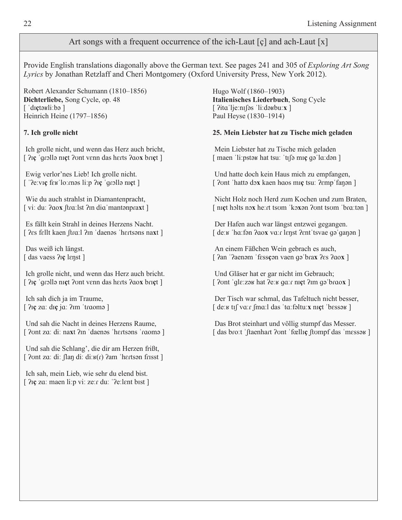#### Art songs with a frequent occurrence of the ich-Laut [ç] and ach-Laut [x]

Provide English translations diagonally above the German text. See pages 241 and 305 of *Exploring Art Song Lyrics* by Jonathan Retzlaff and Cheri Montgomery (Oxford University Press, New York 2012).

Robert Alexander Schumann (1810–1856) **Dichterliebe,** Song Cycle, op. 48 [ diçtə<sub>rli:b</sub>ə ] Heinrich Heine (1797–1856)

#### **7. Ich grolle nicht**

 Ich grolle nicht, und wenn das Herz auch bricht, [ ݦܼ**ç** ޖܳܧݐllԥ nܼ**ç**t ݜݦnt vܭnn das hݐܭts ܤݦo**x** bݐܼ**ç**t ]

 Ewig verlor'nes Lieb! Ich grolle nicht.  $\lceil$  '?eːvɪç fɛʁˈloːməs liːp ?ɪç 'grɔllə nɪçt ]

 Wie du auch strahlst in Diamantenpracht, [ vi: duː ʔaox ʃtɾɑːlst ʔɪn diɑˈmantənpɾaxt ]

 Es fällt kein Strahl in deines Herzens Nacht. [  $?$ es fellt kaen ftra:1 ?m 'daenəs 'hertsəns naxt ]

 Das weiß ich längst. [ das vaess ?**Ic** lenst ]

 Ich grolle nicht, und wenn das Herz auch bricht. [ ݦܼ**ç** ޖܳܧݐllԥ nܼ**ç**t ݜݦnt vܭnn das hݐܭts ܤݦo**x** bݐܼ**ç**t ]

 Ich sah dich ja im Traume, [  $\frac{2\pi}{\pi}$  za: dɪç ja:  $\frac{2\pi}{\pi}$  traomə ]

 Und sah die Nacht in deines Herzens Raume, [  $2$ ont za: di: naxt  $2$ m 'daenəs 'hertsəns 'raomə ]

 Und sah die Schlang', die dir am Herzen frißt, [  $2$ ont za: di:  $\int \frac{\partial u}{\partial x} \, dx$  di:  $\int \frac{\partial u}{\partial x} \, dx$  am 'hertson frisst]

 Ich sah, mein Lieb, wie sehr du elend bist. [  $\alpha$  za: maen li:p vi: ze:r du: ' $\beta$ e:lent bist ] Hugo Wolf (1860–1903) **Italienisches Liederbuch**, Song Cycle [  $\frac{2\pi}{3}$  li:dəʁbuːx ] Paul Heyse (1830–1914)

#### **25. Mein Liebster hat zu Tische mich geladen**

 Mein Liebster hat zu Tische mich geladen [ maen 'liːpstəʁ hat tsuː 'tɪʃə mɪç gə lɑːdən ]

 Und hatte doch kein Haus mich zu empfangen, [  $\gamma$ ont 'hattə dəx kaen haos mıç tsu:  $\gamma$ emp fanən ]

 Nicht Holz noch Herd zum Kochen und zum Braten, [ n**ic** holts nox hetch tsum 'koxon ?unt tsum 'bratton ]

 Der Hafen auch war längst entzwei gegangen. [ deːʁ ˈhɑːfən ʔɑox vɑːɾ lɛŋst ʔɛntˈtsvae gəˈgaŋən ]

 An einem Fäßchen Wein gebrach es auch, [  $2an$  ' $2ean$   $\frac{1}{2}$  fessç $\frac{1}{2}$  vaen  $\frac{1}{2}$  brax  $2es$   $2a$ ox ]

 Und Gläser hat er gar nicht im Gebrauch; [ ݜݦnt ޖܳlޝܭzԥݓ hat ݦeݓޝ ܳݐޝܤ nܼ**ç**t ݦܼm ܳԥޖbܤݐo**x** ]

 Der Tisch war schmal, das Tafeltuch nicht besser, [ deːʁ tɪf vɑːr fmɑːl das 'tɑːfəltuː**x** nɪçt 'bɛssəʁ]

 Das Brot steinhart und völlig stumpf das Messer. [ das broːt ˈftaenhart ʔʊnt ˈfœllɪç ʃtʊmpf das ˈmɛssəʁ]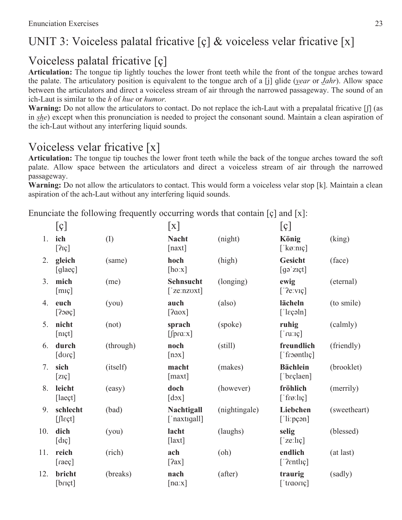### UNIT 3: Voiceless palatal fricative [ç] & voiceless velar fricative [x]

#### Voiceless palatal fricative [ç]

**Articulation:** The tongue tip lightly touches the lower front teeth while the front of the tongue arches toward the palate. The articulatory position is equivalent to the tongue arch of a [j] qlide (*year* or *Jahr*). Allow space between the articulators and direct a voiceless stream of air through the narrowed passageway. The sound of an ich-Laut is similar to the *h* of *hue* or *humor.* 

**Warning:** Do not allow the articulators to contact. Do not replace the ich-Laut with a prepalatal fricative  $\iiint$  (as in *she*) except when this pronunciation is needed to project the consonant sound. Maintain a clean aspiration of the ich-Laut without any interfering liquid sounds.

#### Voiceless velar fricative [x]

**Articulation:** The tongue tip touches the lower front teeth while the back of the tongue arches toward the soft palate. Allow space between the articulators and direct a voiceless stream of air through the narrowed passageway.

Warning: Do not allow the articulators to contact. This would form a voiceless velar stop [k]. Maintain a clean aspiration of the ach-Laut without any interfering liquid sounds.

Enunciate the following frequently occurring words that contain [ç] and [x]:

|     | [g]                                                                                                                                                                                                                                                                                                                 |           | $\lceil x \rceil$                         |               | [g]                                             |              |
|-----|---------------------------------------------------------------------------------------------------------------------------------------------------------------------------------------------------------------------------------------------------------------------------------------------------------------------|-----------|-------------------------------------------|---------------|-------------------------------------------------|--------------|
| 1.  | ich<br>$[2I\varsigma]$                                                                                                                                                                                                                                                                                              | (I)       | <b>Nacht</b><br>[naxt]                    | (night)       | König<br>[' $k\varnothing$ :nɪç]                | (king)       |
| 2.  | gleich<br>[glaeç]                                                                                                                                                                                                                                                                                                   | (same)    | hoch<br>[ho:x]                            | (high)        | <b>Gesicht</b><br>[99'z;t]                      | (face)       |
| 3.  | mich<br>[mq]                                                                                                                                                                                                                                                                                                        | (me)      | Sehnsucht<br>$\lceil$ 'ze:nzoxt]          | (longing)     | ewig<br>[' $?$ e:vɪç]                           | (eternal)    |
| 4.  | euch<br>[200c]                                                                                                                                                                                                                                                                                                      | (you)     | auch<br>[2aox]                            | (also)        | lächeln<br>$\lceil$ 'l $\epsilon$ çəln $\rceil$ | (to smile)   |
| 5.  | nicht<br>[n <sub>I</sub> ct]                                                                                                                                                                                                                                                                                        | (not)     | sprach<br>$[$ fpra: $x]$                  | (spoke)       | ruhig<br>$\lceil$ 'ru: $\iota$ c]               | (calmly)     |
| 6.  | durch<br>$[do$ c $]$                                                                                                                                                                                                                                                                                                | (through) | noch<br>[nox]                             | (still)       | freundlich<br>['froontlic]                      | (friendly)   |
| 7.  | sich<br>$[{\rm ZIC}]$                                                                                                                                                                                                                                                                                               | (itself)  | macht<br>[max <sub>t</sub> ]              | (makes)       | <b>Bächlein</b><br>['bɛçlaen]                   | (brooklet)   |
| 8.  | leicht<br>[laeçt]                                                                                                                                                                                                                                                                                                   | (easy)    | doch<br>$\lceil d \circ x \rceil$         | (however)     | fröhlich<br>$\lceil$ 'frø:lɪç]                  | (merrily)    |
| 9.  | schlecht<br>$[$ $[$ $]$ $[$ $]$ $[$ $]$ $[$ $]$ $[$ $]$ $[$ $]$ $[$ $]$ $[$ $]$ $[$ $]$ $[$ $]$ $[$ $]$ $[$ $]$ $[$ $]$ $[$ $]$ $[$ $]$ $[$ $]$ $[$ $]$ $[$ $]$ $[$ $]$ $[$ $]$ $[$ $]$ $[$ $]$ $[$ $]$ $[$ $]$ $[$ $]$ $[$ $]$ $[$ $]$ $[$ $]$ $[$ $]$ $[$ $]$ $[$ $]$ $[$ $]$ $[$ $]$ $[$ $]$ $[$ $]$ $[$ $]$ $[$ | (bad)     | Nachtigall<br>['naxtigall]                | (nightingale) | Liebchen<br>[ 'li:pçən]                         | (sweetheart) |
| 10. | dich<br>[dq]                                                                                                                                                                                                                                                                                                        | (you)     | lacht<br>$\lceil$ laxt]                   | (laughs)      | selig<br>$\lceil$ 'ze:lɪç]                      | (blessed)    |
| 11. | reich<br>[raeg]                                                                                                                                                                                                                                                                                                     | (rich)    | ach<br>[2ax]                              | (oh)          | endlich<br>['2entliq]                           | (at last)    |
| 12. | bricht<br>[br;]                                                                                                                                                                                                                                                                                                     | (breaks)  | nach<br>$\lceil \text{na} \cdot x \rceil$ | (after)       | traurig<br>['traoriç]                           | (sadly)      |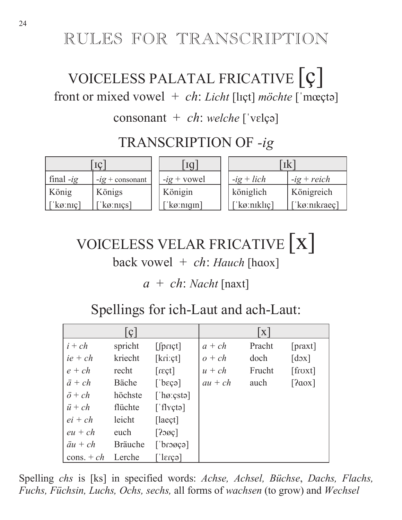### RULES FOR TRANSCRIPTION

### VOICELESS PALATAL FRICATIVE  $|c|$ front or mixed vowel + ch: Licht [lɪçt] möchte ['mœçtə]

#### consonant +  $ch$ : welche ['vɛlçə]

### TRANSCRIPTION OF -ig

|             |                     | Iq                                | ıк                   |               |
|-------------|---------------------|-----------------------------------|----------------------|---------------|
| final $-ig$ | $-ig$ + consonant   | $-ig + vowel$                     | $-ig + lich$         | $-ig + reich$ |
| König       | Königs              | Königin                           | königlich            | Königreich    |
| [ˈkøːnɪç]   | [' $k\sigma$ :nics] | $\lceil \log \frac{1}{10} \rceil$ | $\lceil$ 'kø:nikliç] | ['kø:nikraeç] |

## VOICELESS VELAR FRICATIVE | X | back vowel  $+$  ch: Hauch [haox]

 $a + ch$ : *Nacht* [naxt]

### Spellings for ich-Laut and ach-Laut:

|                  | $\mathbf{C}$   |                     |           | $\mathbf X$ |                           |
|------------------|----------------|---------------------|-----------|-------------|---------------------------|
| $i + ch$         | spricht        | $[$ f $prict]$      | $a + ch$  | Pracht      | [praxt]                   |
| $ie + ch$        | kriecht        | [kri:ct]            | $o + ch$  | doch        | $\lceil d \circ x \rceil$ |
| $e + ch$         | recht          | $[{\rm regt}]$      | $u + ch$  | Frucht      | [froxt]                   |
| $\ddot{a} + ch$  | Bäche          | [degree]            | $au + ch$ | auch        | [2aox]                    |
| $\ddot{o} + ch$  | höchste        | [ $^\circ$ hø:çstə] |           |             |                           |
| $\ddot{u} + ch$  | flüchte        | ['flyçtə]           |           |             |                           |
| $ei + ch$        | leicht         | $[$ laeçt $]$       |           |             |                           |
| $eu + ch$        | euch           | [200c]              |           |             |                           |
| $\ddot{a}u + ch$ | <b>Bräuche</b> | [space]             |           |             |                           |
| cons. $+ ch$     | Lerche         | $\epsilon$ ca       |           |             |                           |

Spelling chs is [ks] in specified words: Achse, Achsel, Büchse, Dachs, Flachs, Fuchs, Füchsin, Luchs, Ochs, sechs, all forms of wachsen (to grow) and Wechsel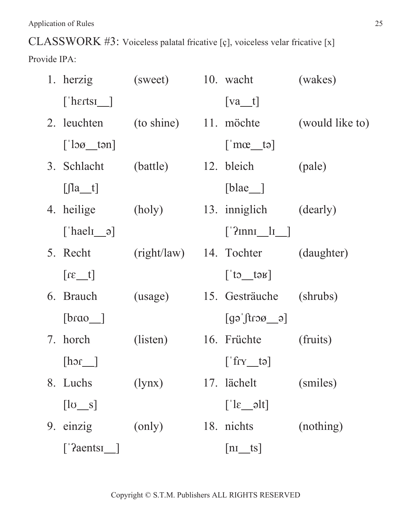CLASSWORK #3: Voiceless palatal fricative [ç], voiceless velar fricative [x]

Provide IPA:

| 1. herzig                                | (sweet) 10. wacht       |                                                        | (wakes)         |
|------------------------------------------|-------------------------|--------------------------------------------------------|-----------------|
| $\lceil$ 'hertsi $\lfloor$               |                         | $[va_t]$                                               |                 |
| 2. leuchten                              | $(to shine)$ 11. möchte |                                                        | (would like to) |
| $\lceil \cdot \rceil$ loø_tən            |                         | $\lceil \cdot \text{mac}\_$ tə]                        |                 |
| 3. Schlacht                              | (battle)                | 12. bleich                                             | (pale)          |
| $[$ $ $ la_t]                            |                         | $[b]$ lae <sub><math> </math></sub>                    |                 |
| 4. heilige                               | (holy)                  | 13. inniglich                                          | (dearly)        |
| ['hael <sub>I</sub> $\varphi$ ]          |                         | $['?nnn_l_l]$                                          |                 |
| 5. Recht                                 |                         | (right/law) 14. Tochter                                | (daughter)      |
| $[t_1$                                   |                         | $\begin{bmatrix} 1 & 1 & 1 \\ 1 & 1 & 1 \end{bmatrix}$ |                 |
| 6. Brauch                                | (usage)                 | 15. Gesträuche                                         | (shrubs)        |
| [brao                                    |                         | $[g_0(t)$                                              |                 |
| 7. horch                                 | (listen)                | 16. Früchte                                            | (fruits)        |
| [hor]                                    |                         | $[\text{if } \text{r} \text{ if } \text{r} \text{]$    |                 |
| 8. Luchs                                 | (1ynx)                  | 17. lächelt                                            | (smiles)        |
| $\begin{bmatrix} \log_2 s \end{bmatrix}$ |                         | $\lceil \text{lk} \_\text{all} \rceil$                 |                 |
| 9. einzig                                | (only)                  | 18. nichts                                             | (nothing)       |
| $\lceil$ '?aentsi_]                      |                         | $ n_1_{s} $                                            |                 |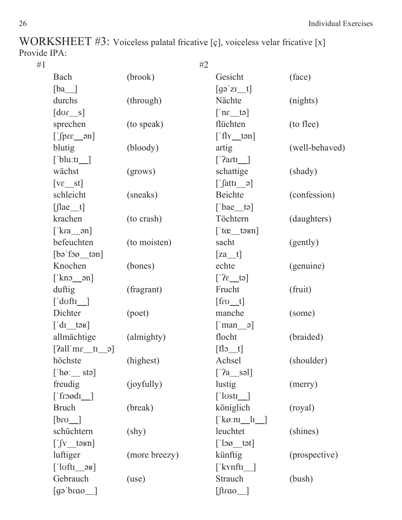WORKSHEET #3: Voiceless palatal fricative [ç], voiceless velar fricative [x] Provide IPA:

| #1 |                                                  | #2             |                                                                               |                |
|----|--------------------------------------------------|----------------|-------------------------------------------------------------------------------|----------------|
|    | Bach                                             | (brook)        | Gesicht                                                                       | (face)         |
|    | $[ba$ <sup><math>]</math></sup>                  |                | $\left[\right]$ gə zi $\left[\right]$                                         |                |
|    | durchs                                           | (through)      | Nächte                                                                        | (nights)       |
|    | $[{\rm dor\_s}]$                                 |                | $\lceil n \epsilon \rfloor$ ta                                                |                |
|    | sprechen                                         | (to speak)     | flüchten                                                                      | (to flee)      |
|    | $[\n{\circ}$ and $\Gamma$                        |                | $\lceil \text{fly\_tan} \rceil$                                               |                |
|    | blutig                                           | (bloody)       | artig                                                                         | (well-behaved) |
|    | $\lceil$ blu:ti_]                                |                | $\lceil$ '?arti_]                                                             |                |
|    | wächst                                           | (grows)        | schattige                                                                     | (shady)        |
|    | $[v\epsilon_{\text{S}}]$                         |                | $\left[\int \left  \int \text{attn} \right  \right]$                          |                |
|    | schleicht                                        | (sneaks)       | Beichte                                                                       | (confession)   |
|    | $[$ $ $ ae_t]                                    |                | $\lceil \text{'bac}\rceil$                                                    |                |
|    | krachen                                          | (to crash)     | Töchtern                                                                      | (daughters)    |
|    | $\left[\text{kra\_ən}\right]$                    |                | $\left[ \text{ }^{\dagger}$ tog $\text{ }^{\dagger}$ tog $\text{ }^{\dagger}$ |                |
|    | befeuchten                                       | (to moisten)   | sacht                                                                         | (gently)       |
|    | $\lceil$ bə fə $\alpha$ tən]                     |                | $[za_t]$                                                                      |                |
|    | Knochen                                          | (bones)        | echte                                                                         | (genuine)      |
|    | $\lceil$ kno $\lceil$ an]                        |                | $[^{2\varepsilon_{12}}]$                                                      |                |
|    | duftig                                           | (fragrant)     | Frucht                                                                        | (fruit)        |
|    | $\lceil \cdot \text{doft1} \rceil$               |                | $[$ fro $_t$                                                                  |                |
|    | Dichter                                          | (poet)         | manche                                                                        | (some)         |
|    | $\left[ d\right]$ tə $\left[ d\right]$           |                | $[\text{man}\_\circ]$                                                         |                |
|    | allmächtige                                      | (almighty)     | flocht                                                                        | (braided)      |
|    | [ $2$ all m $\varepsilon$ tr $\partial$ ]        |                | $[flo_t]$                                                                     |                |
|    | höchste                                          | (highest)      | Achsel                                                                        | (shoulder)     |
|    | $[\hat{a} \cdot \hat{b}]$                        |                | $[2a$ səl]                                                                    |                |
|    | freudig                                          | (joyfully)     | lustig                                                                        | (merry)        |
|    | $\lceil$ frood $\lceil$                          |                | $\lceil$ losti $\lfloor$                                                      |                |
|    | <b>Bruch</b>                                     | (break)        | königlich                                                                     | (royal)        |
|    | $[bro_$                                          |                | [' $k\varnothing$ :ni_li_]                                                    |                |
|    | schüchtern                                       | $(\text{shy})$ | leuchtet                                                                      | (shines)       |
|    | $\left[\int_{Y_{\text{max}}} \text{tənn}\right]$ |                | $\lceil \cdot \rceil$ log tat                                                 |                |
|    | luftiger                                         | (more breezy)  | künftig                                                                       | (prospective)  |
|    | $\lceil$ 'lofti__əʁ]                             |                | $\lceil$ kynft $\lfloor$                                                      |                |
|    | Gebrauch                                         | (use)          | Strauch                                                                       | (bush)         |
|    | [gəˈbɾɑo__]                                      |                | $[$ frao $\_$                                                                 |                |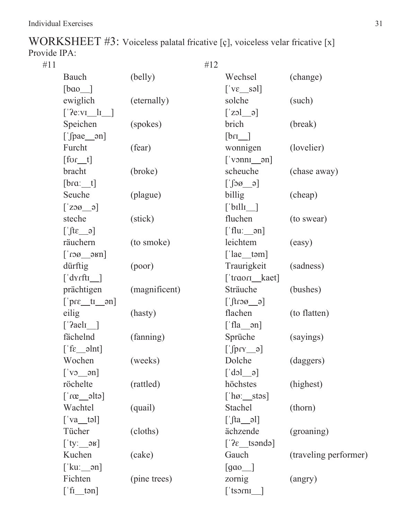| WORKSHEET $\#3$ : Voiceless palatal fricative [ç], voiceless velar fricative [x] |  |  |
|----------------------------------------------------------------------------------|--|--|
| Provide IPA:                                                                     |  |  |

 $\#11$   $\#12$ Bauch (belly) Wechsel (change)  $[\text{bao}]$   $[\text{ve} \text{sol}]$ ewiglich (eternally) solche (such)  $[20 \text{ e}]\$ Speichen (spokes) brich (break)  $[\text{pae\_on}]$  [bri\_] Furcht (fear) wonnigen (lovelier)  $[for t]$   $['vonnq]$ bracht (broke) scheuche (chase away)  $[$   $\int$ o $\alpha$   $\frac{1}{\alpha}$   $\int$   $\int$   $\alpha$   $\alpha$   $\int$   $\int$   $\alpha$   $\alpha$   $\int$   $\int$   $\alpha$   $\alpha$   $\int$   $\int$   $\alpha$   $\alpha$   $\int$   $\int$   $\alpha$   $\alpha$   $\int$   $\int$   $\alpha$   $\alpha$   $\int$   $\int$   $\alpha$   $\alpha$   $\int$   $\int$   $\alpha$   $\alpha$   $\int$   $\int$   $\alpha$   $\alpha$   $\int$   $\alpha$   $\int$  Seuche (plague) billig (cheap)  $\lceil \cdot \text{ZOO} \cdot \text{o} \rceil$   $\lceil \cdot \text{bulk} \rceil$ steche (stick) fluchen (to swear)  $[\n \quad \text{fit} \quad \text{a}]$   $[\n \quad \text{fit} \quad \text{b}]$ räuchern (to smoke) leichtem (easy)  $\lceil$ 'ro $\emptyset$   $\emptyset$   $\emptyset$   $\emptyset$   $\emptyset$   $\emptyset$   $\emptyset$   $\emptyset$   $\emptyset$   $\emptyset$   $\emptyset$   $\emptyset$   $\emptyset$   $\emptyset$   $\emptyset$   $\emptyset$   $\emptyset$   $\emptyset$   $\emptyset$   $\emptyset$   $\emptyset$   $\emptyset$   $\emptyset$   $\emptyset$   $\emptyset$   $\emptyset$   $\emptyset$   $\emptyset$   $\emptyset$   $\emptyset$   $\emptyset$   $\emptyset$   $\emptyset$   $\emptyset$   $\emptyset$   $\empty$ dürftig (poor) Traurigkeit (sadness) ['dyrftt\_] ['traort\_kaet] prächtigen (magnificent) Sträuche (bushes)  $\lceil \text{prox}_\alpha \rceil$   $\lceil \text{prox}_\alpha \rceil$ eilig (hasty) flachen (to flatten)  $\lceil \text{`Aa} \rceil$   $\lceil \text{`Aa} \rceil$ fächelnd (fanning) Sprüche (sayings)  $[\text{for } \rho \in \mathbb{R}^2]$ Wochen (weeks) Dolche (daggers)  $\lceil \text{vol} \rceil$   $\lceil \text{vol} \rceil$ röchelte (rattled) höchstes (highest)  $\lceil \log_{10} \ln \rceil$  [\\times\) here stars are stars  $\lceil \log_{10} \ln \rceil$ Wachtel (quail) Stachel (thorn)  $\lceil$ 'va təl $\lceil$ | $\lceil$ ta  $\lceil$ | $\lceil$ ta  $\lceil$ | $\lceil$ ta  $\lceil$ Tücher (cloths) ächzende (groaning)  $[$ 'ty:\_\_ə $\alpha$ ]  $[$ ' $\alpha$   $[$ ' $\alpha$  $]$ Kuchen (cake) Gauch (traveling performer)  $\lceil$ 'kuː\_\_ən $\lceil$   $\text{gao}$ ] Fichten (pine trees) zornig (angry)  $[\text{`fı } \text{tan}]$   $[\text{`tsorn } ]$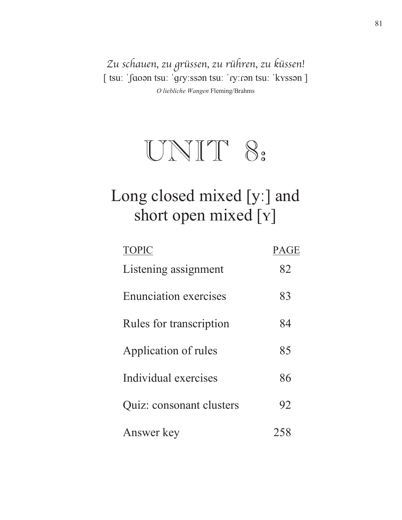Zu schauen, zu grüssen, zu rühren, zu küssen! [ tsu: ˈʃaoən tsu: ˈɡɾyːssən tsu: ˈɾyːɾən tsu: ˈkʏssən ] *O liebliche Wangen* Fleming/Brahms



### Long closed mixed [y:] and short open mixed [Y]

| <b>TOPIC</b>                 | <b>PAGE</b> |
|------------------------------|-------------|
| Listening assignment         | 82          |
| <b>Enunciation exercises</b> | 83          |
| Rules for transcription      | 84          |
| Application of rules         | 85          |
| Individual exercises         | 86          |
| Quiz: consonant clusters     | 92          |
| Answer key                   |             |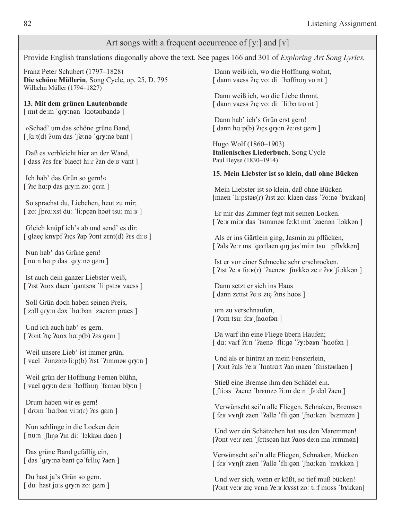#### Art songs with a frequent occurrence of [y:] and [Y]

Provide English translations diagonally above the text. See pages 166 and 301 of *Exploring Art Song Lyrics*.

Franz Peter Schubert (1797–1828) Die schöne Müllerin, Song Cycle, op. 25, D. 795 Wilhelm Müller (1794–1827)

13. Mit dem grünen Lautenbande [mit de:m 'qry:nən 'laotənbandə ]

»Schad' um das schöne grüne Band,  $\int \int a \cdot t(d)$  ?com das ' $\int \varphi$ :nə 'qry:nə bant ]

Daß es verbleicht hier an der Wand. [dass ?es feu blaect hi: r ?an de: v vant ]

Ich hab' das Grün so gern!« [ ?iç ha:p das qry:n zo: qern ]

So sprachst du, Liebchen, heut zu mir; [zo:  $\int \frac{\rho}{\alpha} x \, dx$  du:  $\int \frac{\rho}{\alpha} \rho \rho \, dx$  hoot tsu: mix ]

Gleich knüpf ich's ab und send' es dir: [  $q$ laeç knypf ? lçs ? ap ? vnt zent $(d)$  ? es di:  $\kappa$  ]

Nun hab' das Grüne gern! [ nu:n ha:p das 'gry:nə qern ]

Ist auch dein ganzer Liebster weiß, [ ?ist ?aox daen 'qantsay 'li: pstay vaess ]

Soll Grün doch haben seinen Preis, [zoll gry:n dox 'ha:bən 'zaenən praes ]

Und ich auch hab' es gern. [ $2$ ont  $2$ ıç  $2$ aox ha: $p(b)$   $2$ es gern]

Weil unsere Lieb' ist immer grün, [vael ' $2$ onzara li:p(b)  $2$ rst ' $2$ ımma $\frac{1}{2}$  gry:n]

Weil grün der Hoffnung Fernen blühn, [vael gry:n de: w 'hoffnon 'fernon bly:n ]

Drum haben wir es gern! [ drom 'ha:bən vi: $\kappa(r)$  ?es gern ]

Nun schlinge in die Locken dein [ nuːn ˈʃlɪŋə ʔɪn diː ˈlɔkkən daen ]

Das grüne Band gefällig ein, [ das 'gry:nə bant gə felliç ?aen ]

Du hast ja's Grün so gern.  $\lceil$  du: hast jous gry: n zo: gern  $\lceil$ 

Dann weiß ich, wo die Hoffnung wohnt, [dann vaess ? iç vo: di: 'hoffnon vo:nt ]

Dann weiß ich, wo die Liebe thront, [ dann vaess ?iç vo: di: 'li:bə tro:nt ]

Dann hab' ich's Grün erst gern! [dann hɑːp(b) ?içs qryːn ?eːrst qɛrn ]

Hugo Wolf (1860–1903) Italienisches Liederbuch, Song Cycle Paul Heyse (1830-1914)

#### 15. Mein Liebster ist so klein, daß ohne Bücken

Mein Liebster ist so klein, daß ohne Bücken  $[\text{maen 'li:pstək}(r)$  ?ist zo: klaen dass '?o:nə 'b $\gamma$ kkən $]$ 

Er mir das Zimmer fegt mit seinen Locken. [ ?e: v mi: v das 'tsimmav fe: kt mit 'zaenan 'lokkan ]

Als er ins Gärtlein ging, Jasmin zu pflücken, [ ?als ?e: r ins 'gertlaen gin jas 'mi:n tsu: 'pflykkan]

Ist er vor einer Schnecke sehr erschrocken. [ ?rst ?eːʁ foːʁ(r) '?aenəʁ 'fnɛkkə zeːr ?ɛʁ frɔkkən ]

Dann setzt er sich ins Haus [dann zettst ?e: v ziç ?ins haos ]

um zu verschnaufen, [ $?$ om tsu: f $\epsilon$ k [naof $\epsilon$ n]

Da warf ihn eine Fliege übern Haufen; [da: varf ?iːn '?aenə 'fliːgə '?yːbəʁn 'haofən]

Und als er hintrat an mein Fensterlein. [ ?ont ?als ?eːʁ ˈhɪntrɑːt ?an maen ˈfɛnstəʁlaen ]

Stieß eine Bremse ihm den Schädel ein. [fti:ss '?aenə 'brɛmzə ?iːm deːn 'fɛːdəl ?aen]

Verwünscht sei'n alle Fliegen, Schnaken, Bremsen [ fer vynft zaen '?alla 'fli:gan 'fna:kan 'bremzan]

Und wer ein Schätzchen hat aus den Maremmen! [?ont ve: r aen 'fettsçan hat ?aos de: n ma' remman]

Verwünscht sei'n alle Fliegen, Schnaken, Mücken [ fɛʁ vvnft zaen 'ʔallə 'fli:qən 'fnɑːkən 'mvkkən ]

Und wer sich, wenn er küßt, so tief muß bücken! [?ont ve: v ziç venn ?e: v kvsst zo: ti: f moss 'bykkan]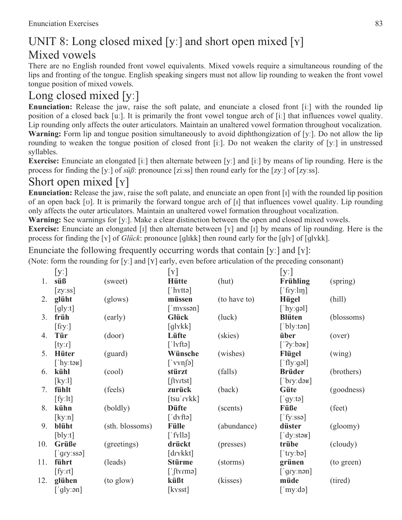#### UNIT 8: Long closed mixed [y:] and short open mixed [ $\gamma$ ] Mixed vowels

There are no English rounded front vowel equivalents. Mixed vowels require a simultaneous rounding of the lips and fronting of the tongue. English speaking singers must not allow lip rounding to weaken the front vowel tongue position of mixed vowels.

#### Long closed mixed  $[y]$

**Enunciation:** Release the jaw, raise the soft palate, and enunciate a closed front [i:] with the rounded lip position of a closed back [uː]. It is primarily the front vowel tongue arch of [iː] that influences vowel quality. Lip rounding only affects the outer articulators. Maintain an unaltered vowel formation throughout vocalization. **Warning:** Form lip and tongue position simultaneously to avoid diphthongization of [y:]. Do not allow the lip rounding to weaken the tongue position of closed front [i:]. Do not weaken the clarity of [y:] in unstressed syllables.

**Exercise:** Enunciate an elongated [i:] then alternate between [y:] and [i:] by means of lip rounding. Here is the process for finding the [y:] of  $s\ddot{u}\beta$ : pronounce [zi:ss] then round early for the [zy:] of [zy:ss].

#### Short open mixed  $[y]$

**Enunciation:** Release the jaw, raise the soft palate, and enunciate an open front [1] with the rounded lip position of an open back [v]. It is primarily the forward tongue arch of  $\lceil \cdot \rceil$  that influences vowel quality. Lip rounding only affects the outer articulators. Maintain an unaltered vowel formation throughout vocalization.

**Warning:** See warnings for [y:]. Make a clear distinction between the open and closed mixed vowels.

**Exercise:** Enunciate an elongated [ $I$ ] then alternate between [ $Y$ ] and [ $I$ ] by means of lip rounding. Here is the process for finding the [Y] of *Glück*: pronounce [ɡlɪkk] then round early for the [ɡlv] of [ɡlvkk].

Enunciate the following frequently occurring words that contain [y:] and [y]:

(Note: form the rounding for [y:] and [Y] early, even before articulation of the preceding consonant)

|     | [y]                         |                 | $\lceil \mathrm{Y} \rceil$              |              | [y!]                     |            |
|-----|-----------------------------|-----------------|-----------------------------------------|--------------|--------------------------|------------|
| 1.  | süß                         | (sweet)         | <b>Hütte</b>                            | (hut)        | Frühling                 | (spring)   |
|     | [zy:ss]                     |                 | [' $h$ xtta]                            |              | $[$ fry:lin]             |            |
| 2.  | glüht                       | (glows)         | müssen                                  | (to have to) | <b>Hügel</b>             | (hill)     |
|     | $\left[\text{gly:t}\right]$ |                 | $\lceil$ 'myssən $\rceil$               |              | ['hy:gəl]                |            |
| 3.  | früh                        | (early)         | Glück                                   | (luck)       | <b>Blüten</b>            | (blossoms) |
|     | $[$ fry: $]$                |                 | $\lceil q \rceil$ x k $\lceil q \rceil$ |              | $\lceil$ bly:ton]        |            |
| 4.  | Tür                         | (door)          | Lüfte                                   | (skies)      | über                     | (over)     |
|     | [ty:r]                      |                 | $[\text{l}xfte]$                        |              | ['2y:baF]                |            |
| 5.  | <b>Hüter</b>                | (guard)         | Wünsche                                 | (wishes)     | Flügel                   | (wing)     |
|     | ['hy:təʁ]                   |                 | $\lceil \text{vyn}[\hat{\Theta}]$       |              | $\lceil$ fly:gəl]        |            |
| 6.  | kühl                        | (cool)          | stürzt                                  | (falls)      | <b>Brüder</b>            | (brothers) |
|     | [ky:1]                      |                 | $[$ ftyrtst]                            |              | $[\n]$ bry:də $\kappa$ ] |            |
| 7.  | fühlt                       | (feels)         | zurück                                  | (back)       | Güte                     | (goodness) |
|     | [fy:lt]                     |                 | $[tsu' r\nkk]$                          |              | ['gy:ta]                 |            |
| 8.  | kühn                        | (boldly)        | <b>Düfte</b>                            | (scents)     | Füße                     | (feet)     |
|     | [ky:n]                      |                 | $\lceil dYfto \rceil$                   |              | $[$ fy:ssə]              |            |
| 9.  | blüht                       | (sth. blossoms) | <b>Fülle</b>                            | (abundance)  | düster                   | (gloomy)   |
|     | [b]                         |                 | $\lceil$ fyllə $\rceil$                 |              | [ $'dy:stay$ ]           |            |
| 10. | Grüße                       | (greetings)     | drückt                                  | (presses)    | trübe                    | (cloudy)   |
|     | $\lceil$ gry:ssə]           |                 | [drykkt]                                |              | $[$ try:bə]              |            |
| 11. | führt                       | (leads)         | <b>Stürme</b>                           | (storms)     | grünen                   | (to green) |
|     | [fy:rt]                     |                 | $[\n]$ fyrmə $]$                        |              | $[\,']$ gry:nən]         |            |
| 12. | glühen                      | (to glow)       | küßt                                    | (kisses)     | müde                     | (tired)    |
|     | ['gly:ən]                   |                 | $[k\text{rsst}]$                        |              | $\lceil$ 'my:də]         |            |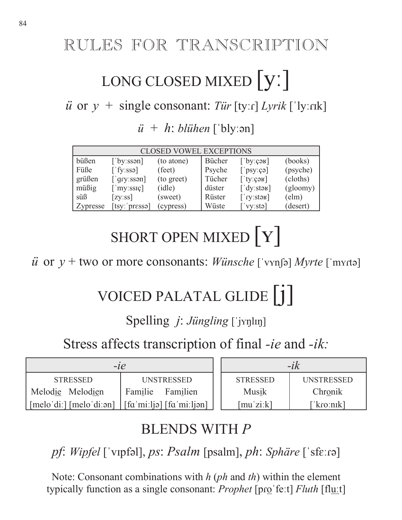### RULES FOR TRANSCRIPTION

## LONG CLOSED MIXED | V.

 $\ddot{u}$  or  $y$  + single consonant: *Tür* [ty:*r*] *Lyrik* ['ly:*rik*]

 $\ddot{u}$  +  $h$ : *blühen* ['bly: $\varphi$ n]

| <b>CLOSED VOWEL EXCEPTIONS</b> |                              |            |        |                           |          |  |
|--------------------------------|------------------------------|------------|--------|---------------------------|----------|--|
| büßen                          | ['by:ssən]                   | (to atone) | Bücher | $[$ by: $\cosh$ ]         | (books)  |  |
| Füße                           | ['fyzssə]                    | (feet)     | Psyche | $[\n]$ psy:çə]            | (psyche) |  |
| grüßen                         | $\lceil$ gry:ssan]           | (to greet) | Tücher | $\lceil$ ty: $\cosh$      | (cloths) |  |
| $m\ddot{\text{u}}\text{Big}$   | $\lceil$ 'my:ssiç]           | (idle)     | düster | $\lceil$ dy: stag]        | (gloomy) |  |
| siB                            | [zy:ss]                      | (sweet)    | Rüster | $[\gamma$ :stək]          | (elm)    |  |
| <b>Zypresse</b>                | $[$ tsy: 'pr $\epsilon$ ssa] | (cypress)  | Wüste  | $\lceil$ 'vy:stə $\rceil$ | (desert) |  |

SHORT OPEN MIXED  $\boxed{Y}$ 

 $\ddot{u}$  or  $y$  + two or more consonants: *Wünsche* [ˈvʏnʃə] *Myrte* [ˈmʏrtə]

## VOICED PALATAL GLIDE | 1 |

#### Spelling *j: Jüngling* ['jynlın]

Stress affects transcription of final *-ie* and *-ik:*

| $-l$ e                                  |                                                       | $-ik$                                                       |            |  |
|-----------------------------------------|-------------------------------------------------------|-------------------------------------------------------------|------------|--|
| <b>STRESSED</b>                         | UNSTRESSED                                            | <b>STRESSED</b>                                             | UNSTRESSED |  |
| Familie<br>Melodie Melodien<br>Familien |                                                       | Musik                                                       | Chronik    |  |
| $[melo'di.]$ $[melo'di:ən]$             | $\left  \int$ [fa 'miːljə] $\left  \int$ fa 'miːljən] | $\lceil \text{mu}' \text{z} \text{i} \cdot \text{k} \rceil$ | [ˈkɾoːnɪk] |  |

### BLENDS WITH *P*

*pf*: *Wipfel* ['vɪpfəl], *ps*: *Psalm* [psalm], *ph*: *Sphäre* ['sfɛːɾə]

Note: Consonant combinations with *h* (*ph* and *th*) within the element typically function as a single consonant: *Prophet* [pro 'fe:t] *Fluth* [fluːt]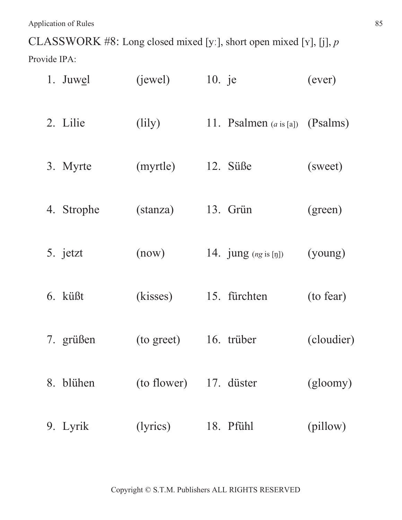CLASSWORK #8: Long closed mixed [y:], short open mixed [Y], [j], *p* 

Provide IPA:

| 1. Juwel   | (iewel)                    | 10. je |                                   | (ever)     |
|------------|----------------------------|--------|-----------------------------------|------------|
| 2. Lilie   | $\left(\text{lily}\right)$ |        | 11. Psalmen $(a \text{ is } [a])$ | (Psalms)   |
| 3. Myrte   | (myrtle)                   |        | 12. Süße                          | (sweet)    |
| 4. Strophe | (stanza)                   |        | 13. Grün                          | (green)    |
| 5. jetzt   | (now)                      |        | 14. $jung (ng is [n])$            | (young)    |
| 6. küßt    | (kisses)                   |        | 15. fürchten                      | (to fear)  |
| 7. grüßen  | (to greet)                 |        | 16. trüber                        | (cloudier) |
| 8. blühen  | (to flower) 17. düster     |        |                                   | (gloomy)   |
| 9. Lyrik   | (lyrics)                   |        | 18. Pfühl                         | (pillow)   |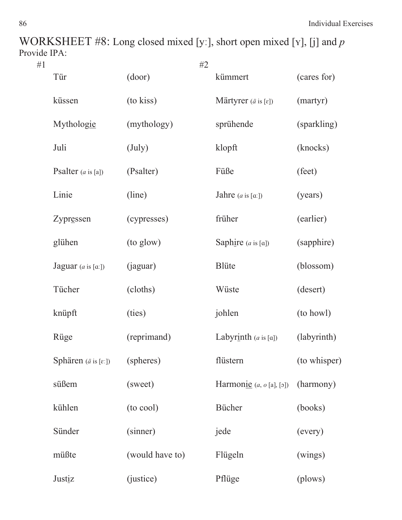WORKSHEET #8: Long closed mixed [y:], short open mixed [Y], [j] and *p* Provide IPA:

| #1 |                                             | #2                |                                          |              |
|----|---------------------------------------------|-------------------|------------------------------------------|--------------|
|    | Tür                                         | (door)            | kümmert                                  | (cares for)  |
|    | küssen                                      | (to kiss)         | Märtyrer ( $\ddot{a}$ is [ $\epsilon$ ]) | (martyr)     |
|    | Mythologie                                  | (mythology)       | sprühende                                | (sparkling)  |
|    | Juli                                        | $(\mathrm{July})$ | klopft                                   | (knocks)     |
|    | Psalter $(a \text{ is } [a])$               | (Psalter)         | Füße                                     | (feet)       |
|    | Linie                                       | (line)            | Jahre $(a \text{ is } [a])$              | (years)      |
|    | Zypressen                                   | (cypresses)       | früher                                   | (earlier)    |
|    | glühen                                      | (to glow)         | Saphire $(a \text{ is } [a])$            | (sapphire)   |
|    | Jaguar $(a \text{ is } [a])$                | (jaguar)          | <b>Blüte</b>                             | (blossom)    |
|    | Tücher                                      | (cloths)          | Wüste                                    | (desert)     |
|    | knüpft                                      | (ties)            | johlen                                   | (to howl)    |
|    | Rüge                                        | (reprimand)       | Labyrinth $(a \text{ is } [a])$          | (labyrinth)  |
|    | Sphären ( $\ddot{a}$ is [ $\varepsilon$ :]) | (spheres)         | flüstern                                 | (to whisper) |
|    | süßem                                       | (sweet)           | Harmonie $(a, o[a], [5])$                | (harmony)    |
|    | kühlen                                      | (to cool)         | Bücher                                   | (books)      |
|    | Sünder                                      | (sinner)          | jede                                     | (every)      |
|    | müßte                                       | (would have to)   | Flügeln                                  | (wings)      |
|    | Justiz                                      | (justice)         | Pflüge                                   | (plows)      |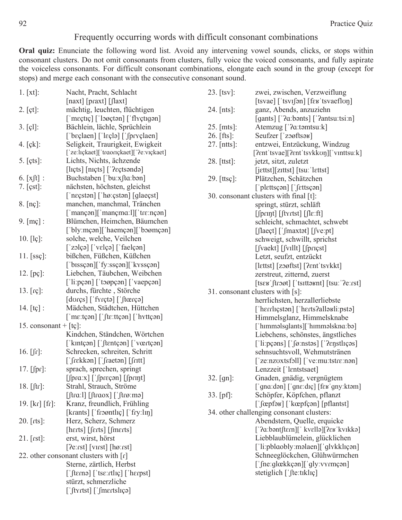#### Frequently occurring words with difficult consonant combinations

Oral quiz: Enunciate the following word list. Avoid any intervening vowel sounds, clicks, or stops within consonant clusters. Do not omit consonants from clusters, fully voice the voiced consonants, and fully aspirate the voiceless consonants. For difficult consonant combinations, elongate each sound in the group (except for stops) and merge each consonant with the consecutive consonant sound.

| 1. [xt]:                      | Nacht, Pracht, Schlacht                                                                                                                   | 23. $[tsv]$ :      | zwei, zwischen, Verzweiflung                                                                       |
|-------------------------------|-------------------------------------------------------------------------------------------------------------------------------------------|--------------------|----------------------------------------------------------------------------------------------------|
|                               | $\lceil \text{maxt} \rceil \lceil \text{maxt} \rceil \lceil \text{maxt} \rceil$                                                           |                    | $[tsvae]$ $[tsvifən]$ $[fsvisefflon]$                                                              |
| 2. [gt]:                      | mächtig, leuchten, flüchtigen                                                                                                             | 24. $[nts]$ :      | ganz, Abends, anzuziehn                                                                            |
|                               | ['mɛçtɪç] ['lɔøçtən] ['flyçtɪgən]                                                                                                         |                    | [gants] [' $2a:$ bənts] [' $2antsu:tsi:n$ ]                                                        |
| $3. [c]$ :                    | Bächlein, lächle, Sprüchlein                                                                                                              | $25.$ [mts]:       | Atemzug ['?a:təmtsu:k]                                                                             |
|                               | ['bɛçlaen] ['lɛçlə] ['fpryçlaen]                                                                                                          | 26. $[fts]$ :      | Seufzer ['zoøftsaʁ]                                                                                |
| 4. $[ck]$ :                   | Seligkeit, Traurigkeit, Ewigkeit                                                                                                          | 27. [ntts]:        | entzwei, Entzückung, Windzug                                                                       |
|                               | ['ze:lɪçkaet]['traorɪçkaet]['?eːvɪçkaet]                                                                                                  |                    | [?ent'tsvae][?ent'tsvkkoŋ]['vinttsu:k]                                                             |
| 5. [cts]:                     | Lichts, Nichts, ächzende                                                                                                                  | $28.$ [ttst]:      | jetzt, sitzt, zuletzt                                                                              |
|                               |                                                                                                                                           |                    | $[$ j $[$ ettst $]$ $[$ z $[$ ttst $]$ $[$ tsu $:$ ' $]$ ettst $]$                                 |
| 6. $[x]$ :                    | Buchstaben ['buːxʃtɑːbən]                                                                                                                 | 29. $[$ ttsç $]$ : | Plätzchen, Schätzchen                                                                              |
| $7. [{\rm cst}]$ :            | nächsten, höchsten, gleichst                                                                                                              |                    | $\lceil \text{`plettsçən} \rceil \lceil \text{`fettsçən} \rceil$                                   |
|                               | $\lceil$ neçstən $\rceil$ $\lceil$ hø: cstən $\rceil$ $\lceil$ glaecst $\rceil$                                                           |                    | 30. consonant clusters with final [t]:                                                             |
| $8. [n \c{c}]$ :              | manchen, manchmal, Tränchen                                                                                                               |                    | springt, stürzt, schläft                                                                           |
|                               | $\lceil$ 'mançən $\lceil$ 'mançm $\alpha$ : $\lceil \cdot \rceil$ 'tr $\varepsilon$ :nçən $\lceil \cdot \rceil$                           |                    | $\left[\int \rho r \eta t\right] \left[\int \rho r \right]$                                        |
| 9. $[ms]$ :                   | Blümchen, Heimchen, Bäumchen                                                                                                              |                    | schleicht, schmachtet, schwebt                                                                     |
|                               | ['bly:mçən]['haemçən]['boømçən]                                                                                                           |                    | $\left[\int \text{la} \cdot \mathbf{C} \cdot \mathbf{C} \cdot \mathbf{C} \cdot \mathbf{C} \right]$ |
| $10. [l\varsigma]$ :          | solche, welche, Veilchen                                                                                                                  |                    | schweigt, schwillt, sprichst                                                                       |
|                               | $\lceil$ 'zɔlçə $\rceil$ $\lceil$ 'vɛlçə $\rceil$ $\lceil$ 'faelçən $\rceil$                                                              |                    | $[\text{fvaekt}] [\text{fvallt}] [\text{fprigst}]$                                                 |
| 11. $[ss\varsigma]$ :         | bißchen, Füßchen, Küßchen                                                                                                                 |                    | Letzt, seufzt, entzückt                                                                            |
|                               | ['bɪssçən]['fyːssçən]['kyssçən]                                                                                                           |                    | [lettst] [zoøftst] [?ent'tsykkt]                                                                   |
| 12. $[p\varsigma]$ :          | Liebchen, Täubchen, Weibchen                                                                                                              |                    | zerstreut, zitternd, zuerst                                                                        |
|                               | $\lceil$ 'liːpçən $\rceil$ ['təøpçən $\rceil$ ['vaepçən]                                                                                  |                    | $[tses']$ froot $]$ $[tsittost]$ $[tsu]'$ ?e: $rst]$                                               |
| 13. $[r\varsigma]$ :          | durchs, fürchte, Störche                                                                                                                  |                    | 31. consonant clusters with [s]:                                                                   |
|                               | $[duqs]$ $[$ $fyrqt$ $]$ $[$ $ftrqt$ $]$                                                                                                  |                    | herrlichsten, herzallerliebste                                                                     |
| 14. $[t\varsigma]$ :          | Mädchen, Städtchen, Hüttchen                                                                                                              |                    | ['herrliçstan] ['herts?allauli:psta]                                                               |
|                               | $\lceil \text{'me:tçən} \rceil \lceil \text{fte:ttçən} \rceil \lceil \text{hyttçən} \rceil$                                               |                    | Himmelsglanz, Himmelsknabe                                                                         |
| 15. consonant + $[t\phi]$ :   |                                                                                                                                           |                    | ['hɪmməlsglants]['hɪmməlsknaːbə]                                                                   |
|                               | Kindchen, Ständchen, Wörtchen                                                                                                             |                    | Liebchens, schönstes, ängstliches                                                                  |
|                               | [ˈkɪntçən] [ˈftɛntçən] [ˈvœrtçən]                                                                                                         |                    | $\lceil$ 'liːpçəns] $\lceil$ ' $\lceil \varphi \rceil$ :nstəs] $\lceil$ '?enstlıçəs]               |
| 16. $[$ $\int$ $\Gamma$ $]$ : | Schrecken, schreiten, Schritt                                                                                                             |                    | sehnsuchtsvoll, Wehmutstränen                                                                      |
|                               | ['frekkən] ['fraetən] [fritt]                                                                                                             |                    | ['ze:nzoxtsfoll] ['ve:mu:tstre:non]                                                                |
| 17. $[$ [pr]:                 | sprach, sprechen, springt                                                                                                                 |                    | Lenzzeit ['lentstsaet]                                                                             |
|                               | [fpra:x] ['fpreçon] [fprint]                                                                                                              | 32. [gn]:          | Gnaden, gnädig, vergnügtem                                                                         |
| 18. $[$ ftr $]$ :             | Strahl, Strauch, Ströme                                                                                                                   |                    | ['gna:dən] ['gnɛ:dɪç] [fɛʁ'gny:ktəm]                                                               |
|                               | $[$ [tra:l] $[$ [traox] $[$ [trø:mə]                                                                                                      | $33.$ [pf]:        | Schöpfer, Köpfchen, pflanzt                                                                        |
| $19.$ [kr] [fr]:              | Kranz, freundlich, Frühling                                                                                                               |                    |                                                                                                    |
|                               | [krants] ['froøntliç] ['fry:lin]                                                                                                          |                    | 34. other challenging consonant clusters:                                                          |
| 20. $[$ rts $]$ :             | Herz, Scherz, Schmerz                                                                                                                     |                    | Abendstern, Quelle, erquicke                                                                       |
|                               | [herts] [ferts] [fmerts]                                                                                                                  |                    | ['?a:bəntftern][' kvellə][?eʁ kvɪkkə]                                                              |
| 21. [rst]:                    | erst, wirst, hörst                                                                                                                        |                    | Liebblaublümelein, glücklichen                                                                     |
|                               | [?e:rst] [virst] [hø:rst]                                                                                                                 |                    | ['li:pblaobly:məlaen]['glykklıçən]                                                                 |
|                               | 22. other consonant clusters with $\lceil r \rceil$                                                                                       |                    | Schneeglöckchen, Glühwürmchen                                                                      |
|                               | Sterne, zärtlich, Herbst                                                                                                                  |                    | $\lceil$ [ne:glœkkçən] $\lceil$ gly:vyrmçən]                                                       |
|                               | $\left[\int \text{term}\right]$ $\left[\int \text{ker}\left[\text{error}\right]$ $\left[\int \text{ker}\left[\text{error}\right] \right]$ |                    | stetiglich $[$ [te:tiklic]                                                                         |
|                               | stürzt, schmerzliche                                                                                                                      |                    |                                                                                                    |
|                               | ['ftyrtst] ['fmertsliça]                                                                                                                  |                    |                                                                                                    |
|                               |                                                                                                                                           |                    |                                                                                                    |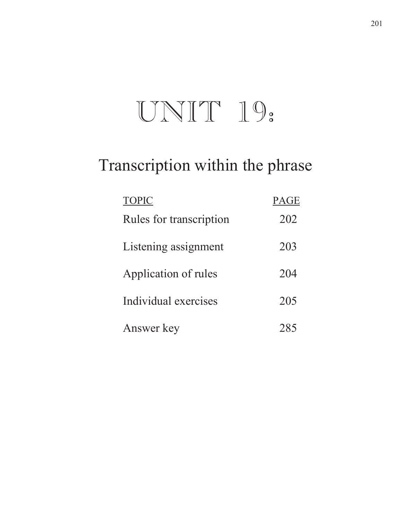# UNIT 19:

### Transcription within the phrase

| <b>TOPIC</b>            | <b>PAGE</b> |
|-------------------------|-------------|
| Rules for transcription | 202         |
| Listening assignment    | 203         |
| Application of rules    | 204         |
| Individual exercises    | 205         |
| Answer key              |             |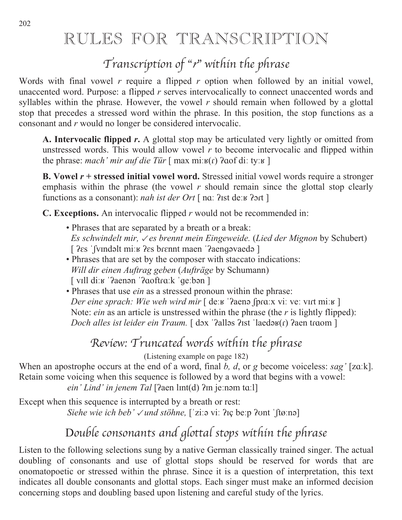### RULES FOR TRANSCRIPTION

### Transcription of "r" within the phrase

Words with final vowel *r* require a flipped *r* option when followed by an initial vowel, unaccented word. Purpose: a flipped *r* serves intervocalically to connect unaccented words and syllables within the phrase. However, the vowel *r* should remain when followed by a glottal stop that precedes a stressed word within the phrase. In this position, the stop functions as a consonant and *r* would no longer be considered intervocalic.

**A. Intervocalic flipped** *r***.** A glottal stop may be articulated very lightly or omitted from unstressed words. This would allow vowel *r* to become intervocalic and flipped within the phrase: *mach' mir auf die Tür*  $\lceil \max \text{mix}(f) \rceil$  aof di: tyː $\bm{y}$  |

**B. Vowel** *r* **+ stressed initial vowel word.** Stressed initial vowel words require a stronger emphasis within the phrase (the vowel *r* should remain since the glottal stop clearly functions as a consonant): *nah ist der Ort* [ nɑ: ?ist deːʁ ?ort ]

**C. Exceptions.** An intervocalic flipped *r* would not be recommended in:

- Phrases that are separated by a breath or a break:  *Es schwindelt mir,* ض *es brennt mein Eingeweide.* (*Lied der Mignon* by Schubert) [  $?es$  'fvindəlt miːʁ ?es brennt maen '?aengəvaedə ]
- Phrases that are set by the composer with staccato indications:  *Will dir einen Auftrag geben* (*Aufträge* by Schumann) [ vill diːʁ 'ʔaenən 'ʔaoftraːk 'geːbən ]

• Phrases that use *ein* as a stressed pronoun within the phrase: *Der eine sprach: Wie weh wird mir* [ deːʁ 'ʔaenə ʃprɑːx viː veː vɪrt miːʁ] Note: *ein* as an article is unstressed within the phrase (the *r* is lightly flipped): *Doch alles ist leider ein Traum.* [ dɔx '?alləs ?ist 'laedəʁ(r) ?aen traom ]

### Review: Truncated words within the phrase

(Listening example on page 182)

When an apostrophe occurs at the end of a word, final  $b$ ,  $d$ , or  $g$  become voiceless: *sag*' [z $a$ k]. Retain some voicing when this sequence is followed by a word that begins with a vowel: *ein' Lind' in jenem Tal* [ˈʔaen lɪnt(d) ?in jeːnəm tɑːl]

Except when this sequence is interrupted by a breath or rest: *Siehe wie ich beb' √ und stöhne,* ['zi∶ǝ viː ʔɪç beːp ʔont ˈʃtøːnǝ]

#### Double consonants and glottal stops within the phrase

Listen to the following selections sung by a native German classically trained singer. The actual doubling of consonants and use of glottal stops should be reserved for words that are onomatopoetic or stressed within the phrase. Since it is a question of interpretation, this text indicates all double consonants and glottal stops. Each singer must make an informed decision concerning stops and doubling based upon listening and careful study of the lyrics.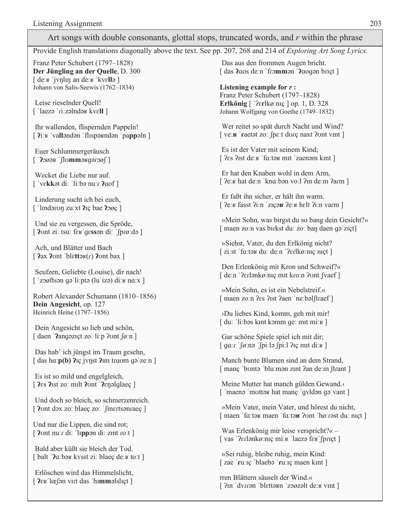#### Art songs with double consonants, glottal stops, truncated words, and r within the phrase

Provide English translations diagonally above the text. See pp. 207, 268 and 214 of Exploring Art Song Lyrics.

Franz Peter Schubert (1797–1828) Der Jüngling an der Quelle, D. 300  $\int$  de: $\kappa$  'ivnlin an de: $\kappa$  'kvella] Johann von Salis-Seewis (1762–1834)

Leise rieselnder Quell! [ $'$ laezə 'ri:zəlndə $\kappa$  kv $\epsilon$ ll]

Ihr wallenden, flispernden Pappeln! [  $\lim_{h \to 0}$  vallondon 'flispoundon 'pappoln ]

Euer Schlummergeräusch  $\lceil$  ?овено  $\lceil$  100 исловек

Wecket die Liebe nur auf. ['vɛkkət diː 'liːbə nuːr ?aof]

Linderung sucht ich bei euch, ['lindəron zu:xt  $\gamma$ iç bae  $\gamma$ ogç]

Und sie zu vergessen, die Spröde, [  $2$ ont zi: tsu: feʁ gessən di: 'fprø:də ]

Ach, und Blätter und Bach [ $2ax$  2 ont 'blettak(r) 2 ont bax ]

Seufzen, Geliebte (Louise), dir nach!  $\lceil$  'zoøftsən gə'li:ptə (lu'izə) di: $\kappa$  na: $\chi$ ]

Robert Alexander Schumann (1810-1856) Dein Angesicht, op. 127 Heinrich Heine (1797-1856)

Dein Angesicht so lieb und schön, [ daen ' $2$ ang $\varphi$ zięt zo: li:p  $2$ ont  $\varphi$ :n ]

Das hab' ich jüngst im Traum gesehn, [ das h $a$ : $p(b)$   $\lambda$ Iç j $\lambda$ ryst  $\lambda$ Im traom gə'ze:n ]

Es ist so mild und engelgleich, [ $\text{?}$ es  $\text{?}$ ist zo: milt  $\text{?}$ ont ' $\text{?}$ en $\text{?}$ en $\text{?}$ laeç ]

Und doch so bleich, so schmerzenreich. [ *Pont dox zo: blaec zo: 'fmertsonraec* ]

Und nur die Lippen, die sind rot; [  $2$ ont nuːr diː 'lɪppən diː zɪnt roːt ]

Bald aber küßt sie bleich der Tod. [balt  $'$ **a**:bax kysst zi: blaec de: $\kappa$  to:t ]

Erlöschen wird das Himmelslicht, [  $2 \epsilon$  is lœ for virt das 'himmolslict]

Das aus den frommen Augen bricht. [das *l*aos de:n 'frommon '*laogon* brict]

Listening example for  $r$ : Franz Peter Schubert (1797–1828) Erlkönig [ '?erlkøːnɪç ] op. 1, D. 328 Johann Wolfgang von Goethe (1749-1832)

Wer reitet so spät durch Nacht und Wind? [ve:**B** 'raetet zo: fpe:t dorc naxt ?ont vint ]

Es ist der Vater mit seinem Kind; [  $2es$   $2rst$  de:  $s$  'fa: tax mit 'zaenam kint ]

Er hat den Knaben wohl in dem Arm, [ ?e: v hat de: n 'kno: bən vo: l ? in de: m ? arm ]

Er faßt ihn sicher, er hält ihn warm. [  $?e:x$  fasst ?i:n 'ziçous ?e:u helt ?i:n varm ]

»Mein Sohn, was birgst du so bang dein Gesicht?« [ maen zo:n vas birkst du: zo: ban daen qo'ziçt]

»Siehst, Vater, du den Erlkönig nicht?  $\lceil$  zi:st 'fa:tə $\kappa$  du: de:n '?erlkø:niç niçt ]

Den Erlenkönig mit Kron und Schweif?« [ de:n '?erlənkø:nıç mit kro:n ?ont fvaef ]

»Mein Sohn, es ist ein Nebelstreif.« [maen zo:n ?es ?ist ?aen 'ne:bəlftraef]

>Du liebes Kind, komm, geh mit mir!  $\lceil$  du: 'li:bəs kint komm qe: mit mi: $\kappa$   $\rceil$ 

Gar schöne Spiele spiel ich mit dir;  $\lceil$  ga:  $\lceil \sin \frac{\pi}{2} \rceil$   $\lceil \sin \frac{\pi}{2} \rceil$   $\lceil \sin \frac{\pi}{2} \rceil$ 

Manch bunte Blumen sind an dem Strand, [ manç 'bontə 'bluːmən zint ?an deːm [trant ]

Meine Mutter hat manch gülden Gewand. [ 'maenə 'mottər hat manç 'gyldən gə vant ]

»Mein Vater, mein Vater, und hörest du nicht, [maen 'fa:tax maen 'fa:tax ?ont 'hø:rast du: niçt ]

Was Erlenkönig mir leise verspricht?« -[vas '?erlənkø:nıç mi: v 'laezə fer' fpriçt]

»Sei ruhig, bleibe ruhig, mein Kind: [zae 'ru: Iç 'blaebə 'ru: Iç maen kint]

rren Blättern säuselt der Wind.« [ ?in 'dyrrən 'blettən 'zoøzəlt de: v vint ]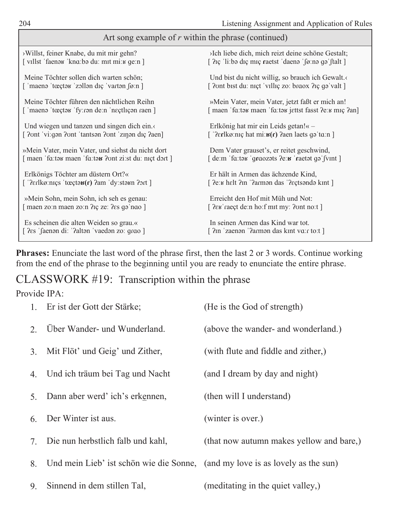| Art song example of r within the phrase (continued)                                 |                                                                     |  |  |
|-------------------------------------------------------------------------------------|---------------------------------------------------------------------|--|--|
| >Willst, feiner Knabe, du mit mir gehn?                                             | >Ich liebe dich, mich reizt deine schöne Gestalt;                   |  |  |
| [villst 'faene kna:be du: mit mi:u ge:n]                                            | [ ?ic 'li:bə diç miç raetst 'daenə 'fø:nə qə'ftalt ]                |  |  |
| Meine Töchter sollen dich warten schön;                                             | Und bist du nicht willig, so brauch ich Gewalt.                     |  |  |
| [ 'maenə 'tœçtəʁ 'zəllən dıç 'vartən føːn ]                                         | [ ?ont bist du: niçt 'villiç zo: braox ?iç gə 'valt ]               |  |  |
| Meine Töchter führen den nächtlichen Reihn                                          | »Mein Vater, mein Vater, jetzt faßt er mich an!                     |  |  |
| [ 'maenə 'tœçtək 'fy:rən de:n 'neçtlıçən raen]                                      | [maen 'fa:tak maen 'fa:tak jettst fasst ?e:k miç ?an]               |  |  |
| Und wiegen und tanzen und singen dich ein.                                          | Erlkönig hat mir ein Leids getan!« -                                |  |  |
| [ ?ont 'vi:gan ?ont 'tantsan ?ont 'zinan diç ?aen]                                  | [' $?erlkø: mç hat mi: \mathbf{B}(\mathbf{r})$ ?aen laets gə'ta:n ] |  |  |
| »Mein Vater, mein Vater, und siehst du nicht dort                                   | Dem Vater grauset's, er reitet geschwind,                           |  |  |
| [maen 'fa:tax maen 'fa:tax ?ont zi:st du: nict dort ]                               | [de:m 'fa:taʁ 'graozats ?e: <b>ʁ</b> 'raetat gə' fvint]             |  |  |
| Erlkönigs Töchter am düstern Ort?«                                                  | Er hält in Armen das ächzende Kind,                                 |  |  |
| [' $?$ erlkø:niçs 'tœçtə $\mathbf{g}(\mathbf{r})$ ?am 'dy:stə $\mathbf{g}$ n ?ort ] | [ ?eːʁ hɛlt ?ɪn '?aɾmən das '?ɛçtsəndə kɪnt ]                       |  |  |
| »Mein Sohn, mein Sohn, ich seh es genau:                                            | Erreicht den Hof mit Müh und Not:                                   |  |  |
| [maen zo:n maen zo:n ?iç ze: ?es gə nao ]                                           | [ $?ew$ raect de:n ho:f mit my: ?ont no:t ]                         |  |  |
| Es scheinen die alten Weiden so grau.«                                              | In seinen Armen das Kind war tot.                                   |  |  |
| [ ?es 'faenon di: '?alton 'vaedon zo: grao ]                                        | [ ?in 'zaenən '?armən das kint va:r to:t ]                          |  |  |

Phrases: Enunciate the last word of the phrase first, then the last 2 or 3 words. Continue working from the end of the phrase to the beginning until you are ready to enunciate the entire phrase.

#### CLASSWORK #19: Transcription within the phrase

#### Provide IPA:

|    | 1. Er ist der Gott der Stärke;                                                | (He is the God of strength)              |
|----|-------------------------------------------------------------------------------|------------------------------------------|
| 2. | Über Wander- und Wunderland.                                                  | (above the wander- and wonderland.)      |
| 3. | Mit Flöt' und Geig' und Zither,                                               | (with flute and fiddle and zither,)      |
| 4. | Und ich träum bei Tag und Nacht                                               | (and I dream by day and night)           |
| 5. | Dann aber werd' ich's erkennen,                                               | (then will I understand)                 |
| 6. | Der Winter ist aus.                                                           | (winter is over.)                        |
| 7. | Die nun herbstlich falb und kahl,                                             | (that now autumn makes yellow and bare,) |
| 8. | Und mein Lieb' ist schön wie die Sonne, (and my love is as lovely as the sun) |                                          |
| 9. | Sinnend in dem stillen Tal,                                                   | (meditating in the quiet valley,)        |

Г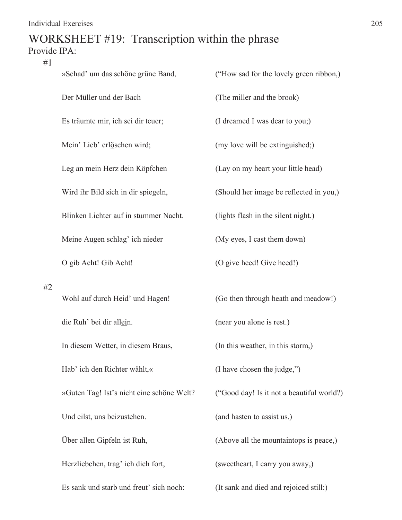#### WORKSHEET #19: Transcription within the phrase Provide IPA:

| #1 | »Schad' um das schöne grüne Band,         | ("How sad for the lovely green ribbon,)   |  |
|----|-------------------------------------------|-------------------------------------------|--|
|    | Der Müller und der Bach                   | (The miller and the brook)                |  |
|    | Es träumte mir, ich sei dir teuer;        | (I dreamed I was dear to you;)            |  |
|    | Mein' Lieb' erlöschen wird;               | (my love will be extinguished;)           |  |
|    | Leg an mein Herz dein Köpfchen            | (Lay on my heart your little head)        |  |
|    | Wird ihr Bild sich in dir spiegeln,       | (Should her image be reflected in you,)   |  |
|    | Blinken Lichter auf in stummer Nacht.     | (lights flash in the silent night.)       |  |
|    | Meine Augen schlag' ich nieder            | (My eyes, I cast them down)               |  |
|    | O gib Acht! Gib Acht!                     | (O give heed! Give heed!)                 |  |
|    |                                           |                                           |  |
| #2 | Wohl auf durch Heid' und Hagen!           | (Go then through heath and meadow!)       |  |
|    | die Ruh' bei dir allein.                  | (near you alone is rest.)                 |  |
|    | In diesem Wetter, in diesem Braus,        | (In this weather, in this storm,)         |  |
|    | Hab' ich den Richter wählt,«              | (I have chosen the judge,")               |  |
|    | »Guten Tag! Ist's nicht eine schöne Welt? | ("Good day! Is it not a beautiful world?) |  |
|    | Und eilst, uns beizustehen.               | (and hasten to assist us.)                |  |
|    | Über allen Gipfeln ist Ruh,               | (Above all the mountaintops is peace,)    |  |
|    | Herzliebchen, trag' ich dich fort,        | (sweetheart, I carry you away,)           |  |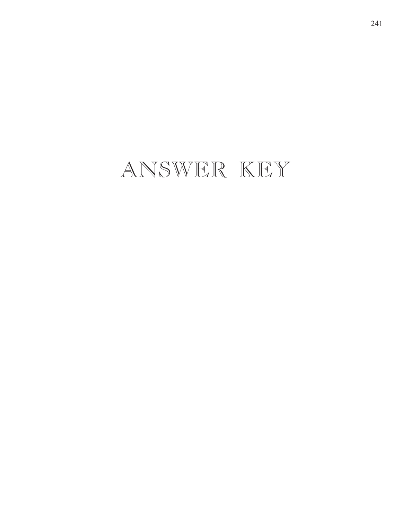## ANSWER KEY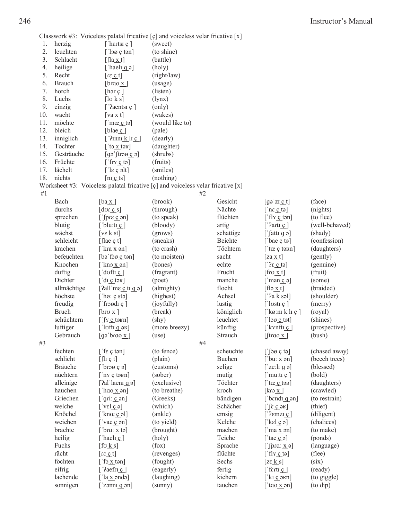Classwork #3: Voiceless palatal fricative  $[c]$  and voiceless velar fricative  $[x]$ 

| 1.  | herzig        | ['h $ertsi$ $\overline{c}$ ]                          | (sweet)                                                                         |           |                                                                                                                           |                |
|-----|---------------|-------------------------------------------------------|---------------------------------------------------------------------------------|-----------|---------------------------------------------------------------------------------------------------------------------------|----------------|
| 2.  | leuchten      | $[\text{log} \text{ cm}]$                             | (to shine)                                                                      |           |                                                                                                                           |                |
| 3.  | Schlacht      | $[$ $[$ $]$ $a$ $ x$ $ t$ $]$                         | (battle)                                                                        |           |                                                                                                                           |                |
| 4.  | heilige       | ['hael <u>i q</u> $\varphi$ ]                         | (holy)                                                                          |           |                                                                                                                           |                |
| 5.  | Recht         | $[rg \circ t]$                                        | (right/law)                                                                     |           |                                                                                                                           |                |
| 6.  | <b>Brauch</b> | [brao $x$ ]                                           | (usage)                                                                         |           |                                                                                                                           |                |
| 7.  | horch         | [hor c]                                               | (listen)                                                                        |           |                                                                                                                           |                |
| 8.  | Luchs         | $[\log k s]$                                          | (1ynx)                                                                          |           |                                                                                                                           |                |
| 9.  | einzig        | [' $2$ aentsi $\circ$ ]                               | (only)                                                                          |           |                                                                                                                           |                |
| 10. | wacht         | $\lceil \text{va} \times \text{t} \rceil$             | (wakes)                                                                         |           |                                                                                                                           |                |
| 11. | möchte        | $\lceil \cdot \text{mac} \csc \cdot \text{te} \rceil$ | (would like to)                                                                 |           |                                                                                                                           |                |
| 12. | bleich        | [blae $\mathfrak{c}$ ]                                | (pale)                                                                          |           |                                                                                                                           |                |
| 13. | inniglich     | $\lceil$ '?inn <u>i k</u> li ç]                       | (dearly)                                                                        |           |                                                                                                                           |                |
| 14. | Tochter       | ['to $\overline{X}$ tәк]                              | (daughter)                                                                      |           |                                                                                                                           |                |
| 15. | Gesträuche    | $[$ gə ftro $\alpha$ $\in$ ə $]$                      | (shrubs)                                                                        |           |                                                                                                                           |                |
| 16. | Früchte       | $[\n    \text{ifry } c \text{ to}]$                   | (fruits)                                                                        |           |                                                                                                                           |                |
| 17. | lächelt       | $\lceil \text{lg } c \text{ alt} \rceil$              | (smiles)                                                                        |           |                                                                                                                           |                |
| 18. | nichts        | $[n_1 \circ ts]$                                      | (nothing)                                                                       |           |                                                                                                                           |                |
|     |               |                                                       | Worksheet #3: Voiceless palatal fricative [ç] and voiceless velar fricative [x] |           |                                                                                                                           |                |
| #1  |               |                                                       | #2                                                                              |           |                                                                                                                           |                |
|     | Bach          | $[\text{ba} \times]$                                  | (brook)                                                                         | Gesicht   | $[g \circ z \mathbf{i} \cdot \mathbf{c} \cdot t]$                                                                         | (face)         |
|     | durchs        | $[dor \circ s]$                                       | (through)                                                                       | Nächte    | $[$ nε $\circ$ tə]                                                                                                        | (nights)       |
|     | sprechen      | $[$ fpre $c$ on]                                      | (to speak)                                                                      | flüchten  | $\lceil \text{fly c ton} \rceil$                                                                                          | (to flee)      |
|     | blutig        | ['blu:t <u>i</u> $c$ ]                                | (bloody)                                                                        | artig     | [' $2artc$ ]                                                                                                              | (well-behaved) |
|     | wächst        | $[ve \underline{k} st]$                               | (grows)                                                                         | schattige | $\int$ fatti q ə]                                                                                                         | (shady)        |
|     | schleicht     | $[\text{frac}c\]$                                     | (sneaks)                                                                        | Beichte   | [bae $\mathfrak{c}$ tə]                                                                                                   | (confession)   |
|     | krachen       | [ $kra_x$ an]                                         | (to crash)                                                                      | Töchtern  | [ $t$ œ $c$ to $t$ n]                                                                                                     | (daughters)    |
|     | befeuchten    | [bə fə $g$ c tən]                                     | (to moisten)                                                                    | sacht     | [za x t]                                                                                                                  | (gently)       |
|     | Knochen       | $[$ kno $\underline{x}$ on]                           | (bones)                                                                         | echte     | $[2\varepsilon \circ t \circ$                                                                                             | (genuine)      |
|     | duftig        | $\lceil \cdot \text{doft} \rceil$                     | (fragrant)                                                                      | Frucht    | $[\text{frou } x_t]$                                                                                                      | (fruit)        |
|     | Dichter       | $[$ di $\circ$ tak]                                   | (poet)                                                                          | manche    | $\lceil \text{man } c \rceil$                                                                                             | (some)         |
|     | allmächtige   | [ $2$ all me $c$ ti g $\varphi$ ]                     | (almighty)                                                                      | flocht    | $[\text{flo}_X t]$                                                                                                        | (braided)      |
|     | höchste       | [ $ho: \underline{c}$ sta]                            | (highest)                                                                       | Achsel    | [ $2a \underline{k}$ səl]                                                                                                 | (shoulder)     |
|     | freudig       | [froodic]                                             | (joyfully)                                                                      | lustig    | $\lceil$ lostic <sub>1</sub>                                                                                              | (merry)        |
|     | <b>Bruch</b>  | $[$ bro $\underline{x}]$                              | (break)                                                                         | königlich | [' $k\varnothing$ :ni k li ç ]                                                                                            | (royal)        |
|     | schüchtern    | $[\int Y \cdot C \cdot \text{tan}]$                   | $(\text{shy})$                                                                  | leuchtet  | $[$ log $c$ tot]                                                                                                          | (shines)       |
|     | luftiger      | $\lceil \cdot \rceil$ loft q әв]                      | (more breezy)                                                                   | künftig   | [ kynft <u>i</u> $\mathfrak{c}$ ]                                                                                         | (prospective)  |
|     | Gebrauch      | [gəˈbrɑo <u>_x</u> ]                                  | (use)                                                                           | Strauch   | $[$ frao $x]$                                                                                                             | (bush)         |
| #3  |               |                                                       | #4                                                                              |           |                                                                                                                           |                |
|     | fechten       | $[$ fε $\circ$ ton]                                   | (to fence)                                                                      | scheuchte | $[\int$ og $\leq$ tə]                                                                                                     | (chased away)  |
|     | schlicht      | $[$ $\iint$ <sub>I</sub> $\iint$ $\iint$ $\iint$      | (plain)                                                                         | Buchen    | $[$ bu: $\underline{x}$ on]                                                                                               | (beech trees)  |
|     | Bräuche       | $\lceil \log_2$                                       | (customs)                                                                       | selige    | [ $ze:$ l <u>i</u> q ə]                                                                                                   | (blessed)      |
|     | nüchtern      | $\lceil n \times c \cdot \text{təkn} \rceil$          | (sober)                                                                         | mutig     | $\lceil \text{mu:tt} \cdot c \rceil$                                                                                      | (bold)         |
|     | alleinige     | [ $2al$ laent $q_0$ ]                                 | (exclusive)                                                                     | Töchter   | $\lceil \text{tc} \cdot \text{ct} \cdot \text{ct} \cdot \text{ct} \cdot \text{ct} \cdot \text{ct} \cdot \text{ct} \rceil$ | (daughters)    |
|     | hauchen       | [ $hao_x$ on]                                         | (to breathe)                                                                    | kroch     | $\lceil \text{kro} \times \rceil$                                                                                         | (crawled)      |
|     | Griechen      | $[$ gri: $c$ on]                                      | (Greeks)                                                                        | bändigen  | ['bendi q $\varphi$ n]                                                                                                    | (to restrain)  |
|     | welche        | [velq]                                                | (which)                                                                         | Schächer  | $[\int \epsilon \cos \theta]$                                                                                             | (thief)        |
|     | Knöchel       | [ knox $c$ əl]                                        | (ankle)                                                                         | emsig     | [' $2$ emzi $\frac{c}{c}$ ]                                                                                               | (diligent)     |
|     | weichen       | [ $\text{vae} \cdot \text{e}$ an]                     | (to yield)                                                                      | Kelche    | [ $kcl$ $c$ $a$ ]                                                                                                         | (chalices)     |
|     | brachte       | [bra: $x$ tə]                                         | (brought)                                                                       | machen    | $\lceil \text{ma } x \text{ on } \rceil$                                                                                  | (to make)      |
|     | heilig        | ['hael <u>i c</u> ]                                   | (holy)                                                                          | Teiche    | [ tae $\mathfrak{c}$ ə]                                                                                                   | (ponds)        |
|     | Fuchs         | $[$ fo $k s]$                                         | (fox)                                                                           | Sprache   | [ $\int \frac{1}{2} \arctan x \cdot \arctan x$ ]                                                                          | (language)     |
|     | rächt         | $[rg \circ t]$                                        | (revenges)                                                                      | flüchte   | $[$ fly $c$ to]                                                                                                           | (flee)         |
|     | fochten       | $[$ fo $\underline{x}$ tən]                           | (fought)                                                                        | Sechs     | $[ze \underline{k} s]$                                                                                                    | (six)          |
|     | eifrig        | $[$ ?aefri $c$ ]                                      | (eagerly)                                                                       | fertig    | $\lceil \text{fert}_2 \rceil$                                                                                             | (ready)        |
|     | lachende      | $\lceil$ la x əndə]                                   | (laughing)                                                                      | kichern   | $[\text{kr} \circ \text{prn}]$                                                                                            | (to giggle)    |
|     | sonnigen      | $\lceil$ zonn <u>i</u> q ən                           | (sumny)                                                                         | tauchen   | ['tao $\underline{x}$ an]                                                                                                 | (to dip)       |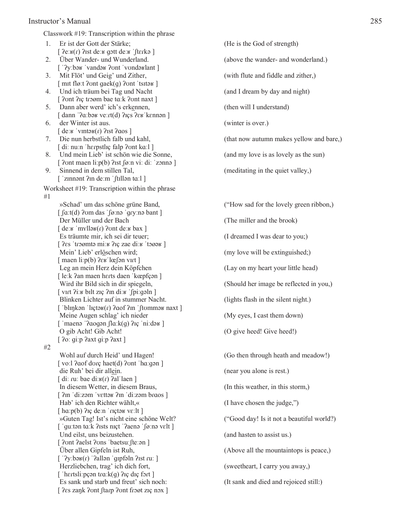#### Instructor's Manual 285

Classwork #19: Transcription within the phrase

- 1. Er ist der Gott der Stärke; (He is the God of strength)  $[$   $\frac{1}{2}$ e: $\frac{1}{2}$ rst de: $\frac{1}{2}$  gott de: $\frac{1}{2}$  fterkə  $\frac{1}{2}$ 2. Über Wander- und Wunderland. (above the wander- and wonderland.)
- [ '?y:bəʁ 'vandəʁ ?ont 'vondəʁlant]
- $\lceil \text{mit } \text{float} \rangle$  and  $\lceil \text{out } \text{float} \rangle$ 4. Und ich träum bei Tag und Nacht (and I dream by day and night)
- $[$  ?vnt ? $i$ c troøm bae t $a$ : k ?vnt naxt  $]$ 5. Dann aber werd' ich's erkennen, (then will I understand)
- $\lceil$  dann ' $\lceil$ a:bə $\kappa$  ve: $\tau$ t(d)  $\lceil$ içs  $\lceil$ e $\kappa$ 'k $\kappa$ nnən  $\rceil$ 6. der Winter ist aus. (winter is over.)
	- $\lceil$  de:  $\mu$  'vint $\alpha(r)$  ? ist ? aos  $\lceil$
- $\lceil$  di: nuːn 'herpstlıç falp ?ont kaːl  $\lceil$
- 8. Und mein Lieb' ist schön wie die Sonne, (and my love is as lovely as the sun)  $[$  ?vnt maen li: $p(b)$  ?ist  $\int$ øːn viː diː  $'$ zonnə  $]$
- 9. Sinnend in dem stillen Tal, the contract of the meditating in the quiet valley,  $\lceil$  'zinnənt  $\lambda$ n deːm ' $\lceil$ tillən t $\alpha$ ːl  $\rceil$

Worksheet #19: Transcription within the phrase #1

> $\int \int \alpha \cdot t(d)$  ?com das  $\int \int \alpha \cdot n \cdot \alpha$  and  $\int \int \alpha \cdot t(d)$  and  $\int \alpha \cdot n \cdot \alpha$  Der Müller und der Bach (The miller and the brook)  $\lceil$  de  $\kappa$  'myll $\partial$  $\kappa$   $\int$  ? ont de  $\kappa$  bax  $\lceil$  Es träumte mir, ich sei dir teuer; (I dreamed I was dear to you;) [  $?es$  'troomto ming  $?ce$  zae ding 'toook ] Mein' Lieb' erlöschen wird; (my love will be extinguished;)  $\lceil$  maen li: $p(b)$  ? $\varepsilon$ u'lœ $\lceil$ ən v $\iota$ rt  $\rceil$  Leg an mein Herz dein Köpfchen (Lay on my heart your little head) [ leːk ?an maen hɛrts daen ˈkœpfçən ] Wird ihr Bild sich in dir spiegeln, (Should her image be reflected in you,)  $\lceil$  vɪrt ?iːʁ bɪlt zɪç ?ɪn diːʁ 'ʃpiːɡəln ] Blinken Lichter auf in stummer Nacht. (lights flash in the silent night.)  $\lceil$  'blinkən 'lictə $\kappa(r)$  ?aof ?in 'ftommək naxt ] Meine Augen schlag' ich nieder (My eyes, I cast them down)  $\lceil$  'maenə ' $2aogən$   $\lceil \ln(k(g)) \rceil$  in:də $\lceil$  O gib Acht! Gib Acht! (O give heed! Give heed!)  $[$  ?o: gi:p ?axt gi:p ?axt ]

#2

 $\lceil$  vo:  $\lceil$   $\lceil$   $\lceil$   $\lceil$   $\lceil$   $\lceil$   $\lceil$   $\lceil$   $\lceil$   $\lceil$   $\lceil$   $\lceil$   $\lceil$   $\lceil$   $\lceil$   $\lceil$   $\lceil$   $\lceil$   $\lceil$   $\lceil$   $\lceil$   $\lceil$   $\lceil$   $\lceil$   $\lceil$   $\lceil$   $\lceil$   $\lceil$   $\lceil$   $\lceil$   $\lceil$   $\lceil$   $\lceil$   $\lceil$   $\lceil$  die Ruh' bei dir allein. (near you alone is rest.)  $\int$ di: ru: bae di: $\mathbf{u}(r)$ ?al'laen] In diesem Wetter, in diesem Braus, (In this weather, in this storm,) [  $2m$  di:zəm vettəs  $2m$  di:zəm braos ] Hab' ich den Richter wählt,« (I have chosen the judge,")  $\lceil$  ha: $p(b)$   $\lceil$  he; deːn  $\lceil$  rietə v $\varepsilon$ :lt  $\rceil$  »Guten Tag! Ist's nicht eine schöne Welt? ("Good day! Is it not a beautiful world?) [ 'guːtən tɑːk ʔɪsts nɪçt 'ʔaenə 'ʃøːnə vɛlt ] Und eilst, uns beizustehen. (and hasten to assist us.) [  $2$ ont  $2$ aelst  $2$ ons 'baetsuː [teːən] Über allen Gipfeln ist Ruh, (Above all the mountaintops is peace,)  $[$  ' $?y:$ bə $y(r)$  ' $?$ allən ' $g$ ıpfəln $?$ ıst $ru:$ ] Herzliebchen, trag' ich dich fort, (sweetheart, I carry you away,) [ 'hertsli: pçən tra:  $k(q)$  ? ic dic fort ] Es sank und starb und freut' sich noch: (It sank and died and rejoiced still:)  $[$   $?$ es zank  $?$ ont  $\lceil \frac{2\pi x}{x} \rceil$ 

3. Mit Flöt' und Geig' und Zither, (with flute and fiddle and zither,) 7. Die nun herbstlich falb und kahl, (that now autumn makes yellow and bare,)

 »Schad' um das schöne grüne Band, ("How sad for the lovely green ribbon,) Wohl auf durch Heid' und Hagen! (Go then through heath and meadow!)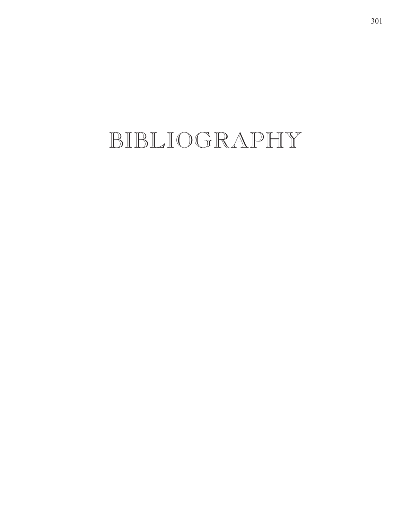BIBLIOGRAPHY